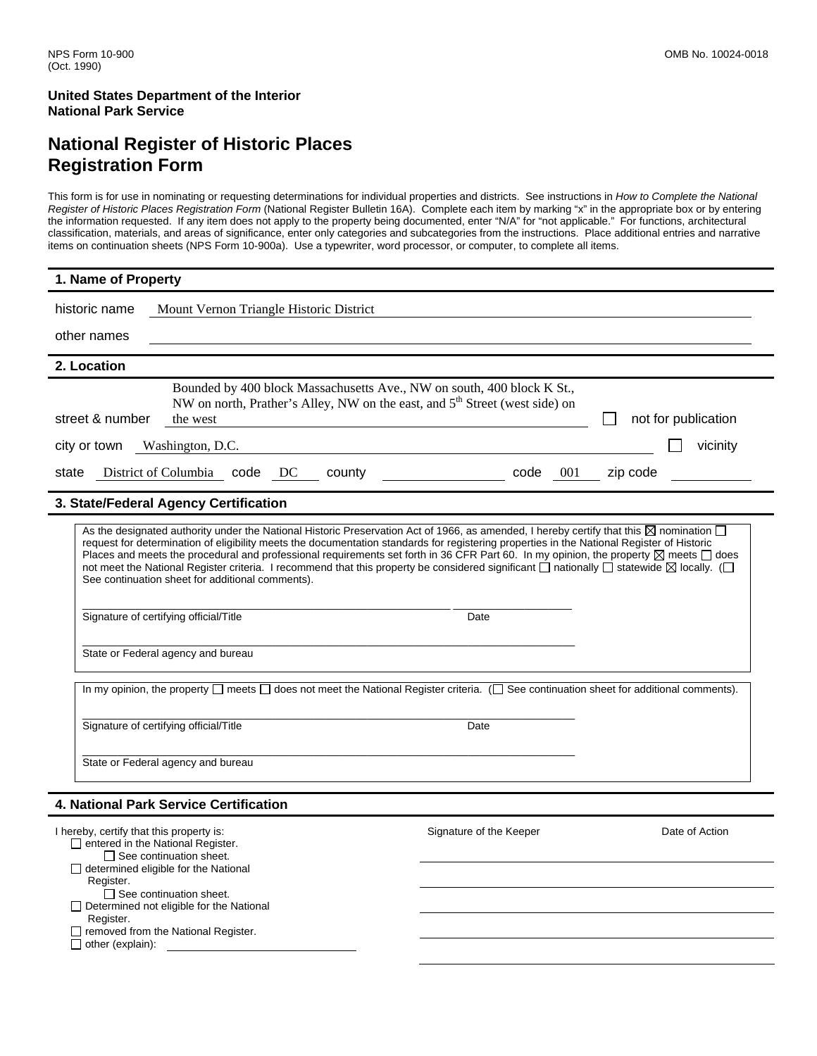Determined not eligible for the National

Tremoved from the National Register.

Register.

 $\Box$  other (explain):

### **National Register of Historic Places Registration Form**

This form is for use in nominating or requesting determinations for individual properties and districts. See instructions in *How to Complete the National Register of Historic Places Registration Form* (National Register Bulletin 16A). Complete each item by marking "x" in the appropriate box or by entering the information requested. If any item does not apply to the property being documented, enter "N/A" for "not applicable." For functions, architectural classification, materials, and areas of significance, enter only categories and subcategories from the instructions. Place additional entries and narrative items on continuation sheets (NPS Form 10-900a). Use a typewriter, word processor, or computer, to complete all items.

| 1. Name of Property                                                                                                                                                                                                                                                                                                                                                                                                                                                                                                                                                                                                                                                                                                                                                       |                         |                     |  |  |  |
|---------------------------------------------------------------------------------------------------------------------------------------------------------------------------------------------------------------------------------------------------------------------------------------------------------------------------------------------------------------------------------------------------------------------------------------------------------------------------------------------------------------------------------------------------------------------------------------------------------------------------------------------------------------------------------------------------------------------------------------------------------------------------|-------------------------|---------------------|--|--|--|
| historic name<br>Mount Vernon Triangle Historic District                                                                                                                                                                                                                                                                                                                                                                                                                                                                                                                                                                                                                                                                                                                  |                         |                     |  |  |  |
| other names                                                                                                                                                                                                                                                                                                                                                                                                                                                                                                                                                                                                                                                                                                                                                               |                         |                     |  |  |  |
| 2. Location                                                                                                                                                                                                                                                                                                                                                                                                                                                                                                                                                                                                                                                                                                                                                               |                         |                     |  |  |  |
| Bounded by 400 block Massachusetts Ave., NW on south, 400 block K St.,<br>NW on north, Prather's Alley, NW on the east, and 5 <sup>th</sup> Street (west side) on<br>street & number<br>the west                                                                                                                                                                                                                                                                                                                                                                                                                                                                                                                                                                          |                         | not for publication |  |  |  |
| city or town<br>Washington, D.C.                                                                                                                                                                                                                                                                                                                                                                                                                                                                                                                                                                                                                                                                                                                                          |                         | vicinity            |  |  |  |
| District of Columbia code DC<br>county<br>state                                                                                                                                                                                                                                                                                                                                                                                                                                                                                                                                                                                                                                                                                                                           | code<br>001             | zip code            |  |  |  |
| 3. State/Federal Agency Certification                                                                                                                                                                                                                                                                                                                                                                                                                                                                                                                                                                                                                                                                                                                                     |                         |                     |  |  |  |
| As the designated authority under the National Historic Preservation Act of 1966, as amended, I hereby certify that this $\boxtimes$ nomination $\square$<br>request for determination of eligibility meets the documentation standards for registering properties in the National Register of Historic<br>Places and meets the procedural and professional requirements set forth in 36 CFR Part 60. In my opinion, the property $\boxtimes$ meets $\Box$ does<br>not meet the National Register criteria. I recommend that this property be considered significant $\Box$ nationally $\Box$ statewide $\boxtimes$ locally. ( $\Box$<br>See continuation sheet for additional comments).<br>Signature of certifying official/Title<br>State or Federal agency and bureau | Date                    |                     |  |  |  |
|                                                                                                                                                                                                                                                                                                                                                                                                                                                                                                                                                                                                                                                                                                                                                                           |                         |                     |  |  |  |
| In my opinion, the property $\square$ meets $\square$ does not meet the National Register criteria. ( $\square$ See continuation sheet for additional comments).                                                                                                                                                                                                                                                                                                                                                                                                                                                                                                                                                                                                          |                         |                     |  |  |  |
| Signature of certifying official/Title                                                                                                                                                                                                                                                                                                                                                                                                                                                                                                                                                                                                                                                                                                                                    | Date                    |                     |  |  |  |
| State or Federal agency and bureau                                                                                                                                                                                                                                                                                                                                                                                                                                                                                                                                                                                                                                                                                                                                        |                         |                     |  |  |  |
| <b>4. National Park Service Certification</b>                                                                                                                                                                                                                                                                                                                                                                                                                                                                                                                                                                                                                                                                                                                             |                         |                     |  |  |  |
| I hereby, certify that this property is:<br>$\Box$ entered in the National Register.<br>$\Box$ See continuation sheet.<br>determined eligible for the National                                                                                                                                                                                                                                                                                                                                                                                                                                                                                                                                                                                                            | Signature of the Keeper | Date of Action      |  |  |  |
| Register.<br>See continuation sheet.                                                                                                                                                                                                                                                                                                                                                                                                                                                                                                                                                                                                                                                                                                                                      |                         |                     |  |  |  |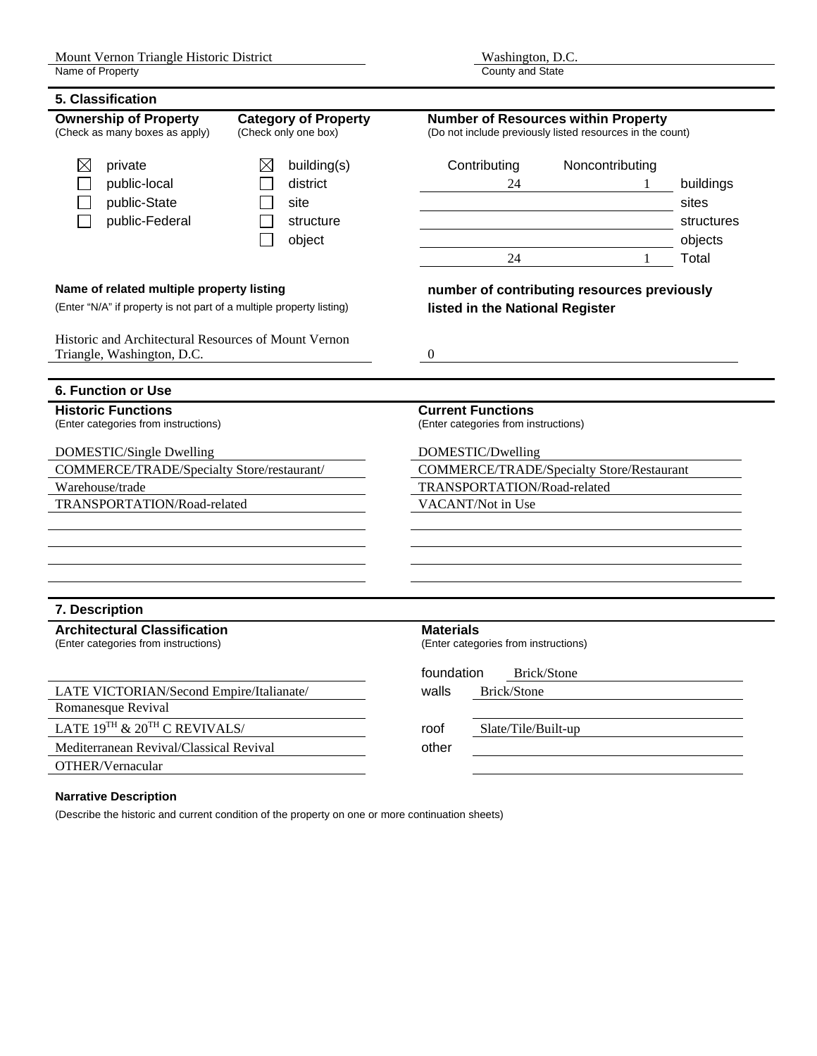| 5. Classification                                                                                                     |                                                                                                                   |                             |                                                                                                         |                  |                                                                  |                                                  |              |            |
|-----------------------------------------------------------------------------------------------------------------------|-------------------------------------------------------------------------------------------------------------------|-----------------------------|---------------------------------------------------------------------------------------------------------|------------------|------------------------------------------------------------------|--------------------------------------------------|--------------|------------|
| <b>Ownership of Property</b><br><b>Category of Property</b><br>(Check as many boxes as apply)<br>(Check only one box) |                                                                                                                   |                             | <b>Number of Resources within Property</b><br>(Do not include previously listed resources in the count) |                  |                                                                  |                                                  |              |            |
| $\boxtimes$                                                                                                           | private                                                                                                           | ⊠                           | building(s)                                                                                             |                  | Contributing                                                     | Noncontributing                                  |              |            |
|                                                                                                                       | public-local                                                                                                      |                             | district                                                                                                |                  | 24                                                               |                                                  | 1            | buildings  |
|                                                                                                                       | public-State                                                                                                      |                             | site                                                                                                    |                  |                                                                  |                                                  |              | sites      |
|                                                                                                                       | public-Federal                                                                                                    |                             | structure                                                                                               |                  |                                                                  |                                                  |              | structures |
|                                                                                                                       |                                                                                                                   |                             | object                                                                                                  |                  |                                                                  |                                                  |              | objects    |
|                                                                                                                       |                                                                                                                   |                             |                                                                                                         |                  | 24                                                               |                                                  | $\mathbf{1}$ | Total      |
|                                                                                                                       | Name of related multiple property listing<br>(Enter "N/A" if property is not part of a multiple property listing) |                             |                                                                                                         |                  | listed in the National Register                                  | number of contributing resources previously      |              |            |
|                                                                                                                       | Historic and Architectural Resources of Mount Vernon<br>Triangle, Washington, D.C.                                |                             |                                                                                                         | $\overline{0}$   |                                                                  |                                                  |              |            |
| <b>6. Function or Use</b>                                                                                             |                                                                                                                   |                             |                                                                                                         |                  |                                                                  |                                                  |              |            |
| <b>Historic Functions</b>                                                                                             | (Enter categories from instructions)                                                                              |                             |                                                                                                         |                  | <b>Current Functions</b><br>(Enter categories from instructions) |                                                  |              |            |
|                                                                                                                       | DOMESTIC/Single Dwelling                                                                                          |                             |                                                                                                         |                  | DOMESTIC/Dwelling                                                |                                                  |              |            |
|                                                                                                                       | <b>COMMERCE/TRADE/Specialty Store/restaurant/</b>                                                                 |                             |                                                                                                         |                  |                                                                  | <b>COMMERCE/TRADE/Specialty Store/Restaurant</b> |              |            |
| Warehouse/trade                                                                                                       |                                                                                                                   | TRANSPORTATION/Road-related |                                                                                                         |                  |                                                                  |                                                  |              |            |
| TRANSPORTATION/Road-related                                                                                           |                                                                                                                   | VACANT/Not in Use           |                                                                                                         |                  |                                                                  |                                                  |              |            |
|                                                                                                                       |                                                                                                                   |                             |                                                                                                         |                  |                                                                  |                                                  |              |            |
|                                                                                                                       |                                                                                                                   |                             |                                                                                                         |                  |                                                                  |                                                  |              |            |
|                                                                                                                       |                                                                                                                   |                             |                                                                                                         |                  |                                                                  |                                                  |              |            |
| 7. Description                                                                                                        |                                                                                                                   |                             |                                                                                                         |                  |                                                                  |                                                  |              |            |
|                                                                                                                       | <b>Architectural Classification</b><br>(Enter categories from instructions)                                       |                             |                                                                                                         | <b>Materials</b> | (Enter categories from instructions)                             |                                                  |              |            |
|                                                                                                                       |                                                                                                                   |                             |                                                                                                         | foundation       |                                                                  | Brick/Stone                                      |              |            |
|                                                                                                                       | LATE VICTORIAN/Second Empire/Italianate/                                                                          |                             |                                                                                                         | walls            | Brick/Stone                                                      |                                                  |              |            |
| Romanesque Revival                                                                                                    |                                                                                                                   |                             |                                                                                                         |                  |                                                                  |                                                  |              |            |
|                                                                                                                       | LATE 19TH & 20TH C REVIVALS/                                                                                      |                             |                                                                                                         | roof             | Slate/Tile/Built-up                                              |                                                  |              |            |
|                                                                                                                       | Mediterranean Revival/Classical Revival                                                                           |                             |                                                                                                         | other            |                                                                  |                                                  |              |            |
| OTHER/Vernacular                                                                                                      |                                                                                                                   |                             |                                                                                                         |                  |                                                                  |                                                  |              |            |

#### **Narrative Description**

(Describe the historic and current condition of the property on one or more continuation sheets)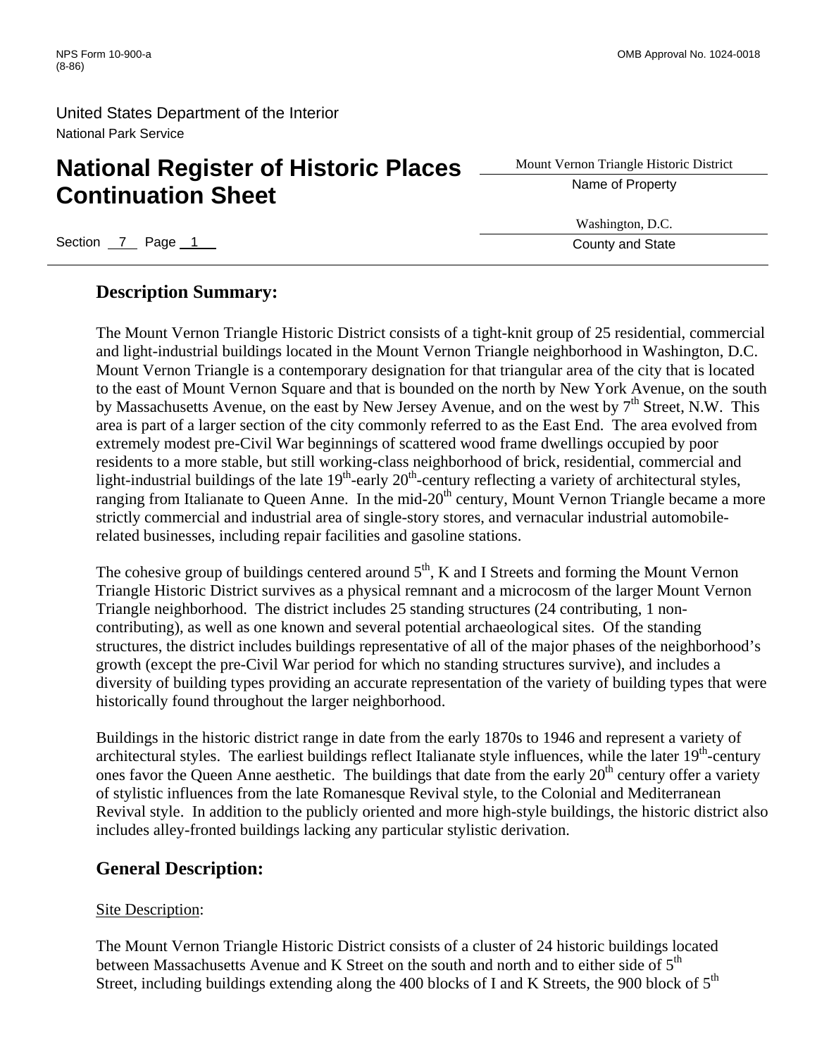# **National Register of Historic Places** <u>Superior Triangle Histor</u><br> **Aname of Property Continuation Sheet**

Mount Vernon Triangle Historic District

Section 7 Page 1 County and State 3 Australian County and State 3 Australian County and State

#### Washington, D.C.

### **Description Summary:**

The Mount Vernon Triangle Historic District consists of a tight-knit group of 25 residential, commercial and light-industrial buildings located in the Mount Vernon Triangle neighborhood in Washington, D.C. Mount Vernon Triangle is a contemporary designation for that triangular area of the city that is located to the east of Mount Vernon Square and that is bounded on the north by New York Avenue, on the south by Massachusetts Avenue, on the east by New Jersey Avenue, and on the west by  $7<sup>th</sup>$  Street, N.W. This area is part of a larger section of the city commonly referred to as the East End. The area evolved from extremely modest pre-Civil War beginnings of scattered wood frame dwellings occupied by poor residents to a more stable, but still working-class neighborhood of brick, residential, commercial and light-industrial buildings of the late  $19<sup>th</sup>$ -early  $20<sup>th</sup>$ -century reflecting a variety of architectural styles, ranging from Italianate to Queen Anne. In the mid-20<sup>th</sup> century, Mount Vernon Triangle became a more strictly commercial and industrial area of single-story stores, and vernacular industrial automobilerelated businesses, including repair facilities and gasoline stations.

The cohesive group of buildings centered around  $5<sup>th</sup>$ , K and I Streets and forming the Mount Vernon Triangle Historic District survives as a physical remnant and a microcosm of the larger Mount Vernon Triangle neighborhood. The district includes 25 standing structures (24 contributing, 1 noncontributing), as well as one known and several potential archaeological sites. Of the standing structures, the district includes buildings representative of all of the major phases of the neighborhood's growth (except the pre-Civil War period for which no standing structures survive), and includes a diversity of building types providing an accurate representation of the variety of building types that were historically found throughout the larger neighborhood.

Buildings in the historic district range in date from the early 1870s to 1946 and represent a variety of architectural styles. The earliest buildings reflect Italianate style influences, while the later  $19<sup>th</sup>$ -century ones favor the Queen Anne aesthetic. The buildings that date from the early  $20<sup>th</sup>$  century offer a variety of stylistic influences from the late Romanesque Revival style, to the Colonial and Mediterranean Revival style. In addition to the publicly oriented and more high-style buildings, the historic district also includes alley-fronted buildings lacking any particular stylistic derivation.

#### **General Description:**

#### Site Description:

The Mount Vernon Triangle Historic District consists of a cluster of 24 historic buildings located between Massachusetts Avenue and K Street on the south and north and to either side of 5<sup>th</sup> Street, including buildings extending along the 400 blocks of I and K Streets, the 900 block of  $5<sup>th</sup>$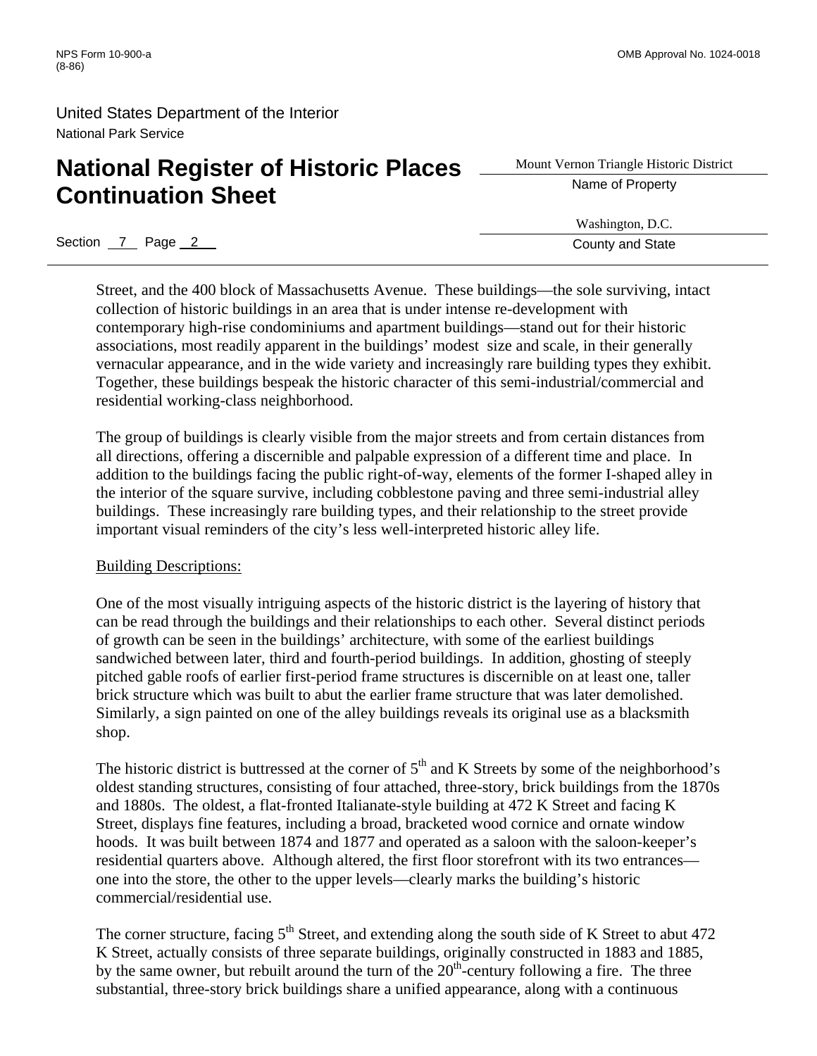# **National Register of Historic Places** <u>Subsettive Name of Property</u> **Continuation Sheet**

Mount Vernon Triangle Historic District

Washington, D.C.

Section 7 Page 2 County and State

Street, and the 400 block of Massachusetts Avenue. These buildings—the sole surviving, intact collection of historic buildings in an area that is under intense re-development with contemporary high-rise condominiums and apartment buildings—stand out for their historic associations, most readily apparent in the buildings' modest size and scale, in their generally vernacular appearance, and in the wide variety and increasingly rare building types they exhibit. Together, these buildings bespeak the historic character of this semi-industrial/commercial and residential working-class neighborhood.

The group of buildings is clearly visible from the major streets and from certain distances from all directions, offering a discernible and palpable expression of a different time and place. In addition to the buildings facing the public right-of-way, elements of the former I-shaped alley in the interior of the square survive, including cobblestone paving and three semi-industrial alley buildings. These increasingly rare building types, and their relationship to the street provide important visual reminders of the city's less well-interpreted historic alley life.

#### Building Descriptions:

One of the most visually intriguing aspects of the historic district is the layering of history that can be read through the buildings and their relationships to each other. Several distinct periods of growth can be seen in the buildings' architecture, with some of the earliest buildings sandwiched between later, third and fourth-period buildings. In addition, ghosting of steeply pitched gable roofs of earlier first-period frame structures is discernible on at least one, taller brick structure which was built to abut the earlier frame structure that was later demolished. Similarly, a sign painted on one of the alley buildings reveals its original use as a blacksmith shop.

The historic district is buttressed at the corner of  $5<sup>th</sup>$  and K Streets by some of the neighborhood's oldest standing structures, consisting of four attached, three-story, brick buildings from the 1870s and 1880s. The oldest, a flat-fronted Italianate-style building at 472 K Street and facing K Street, displays fine features, including a broad, bracketed wood cornice and ornate window hoods. It was built between 1874 and 1877 and operated as a saloon with the saloon-keeper's residential quarters above. Although altered, the first floor storefront with its two entrances one into the store, the other to the upper levels—clearly marks the building's historic commercial/residential use.

The corner structure, facing  $5<sup>th</sup>$  Street, and extending along the south side of K Street to abut 472 K Street, actually consists of three separate buildings, originally constructed in 1883 and 1885, by the same owner, but rebuilt around the turn of the  $20<sup>th</sup>$ -century following a fire. The three substantial, three-story brick buildings share a unified appearance, along with a continuous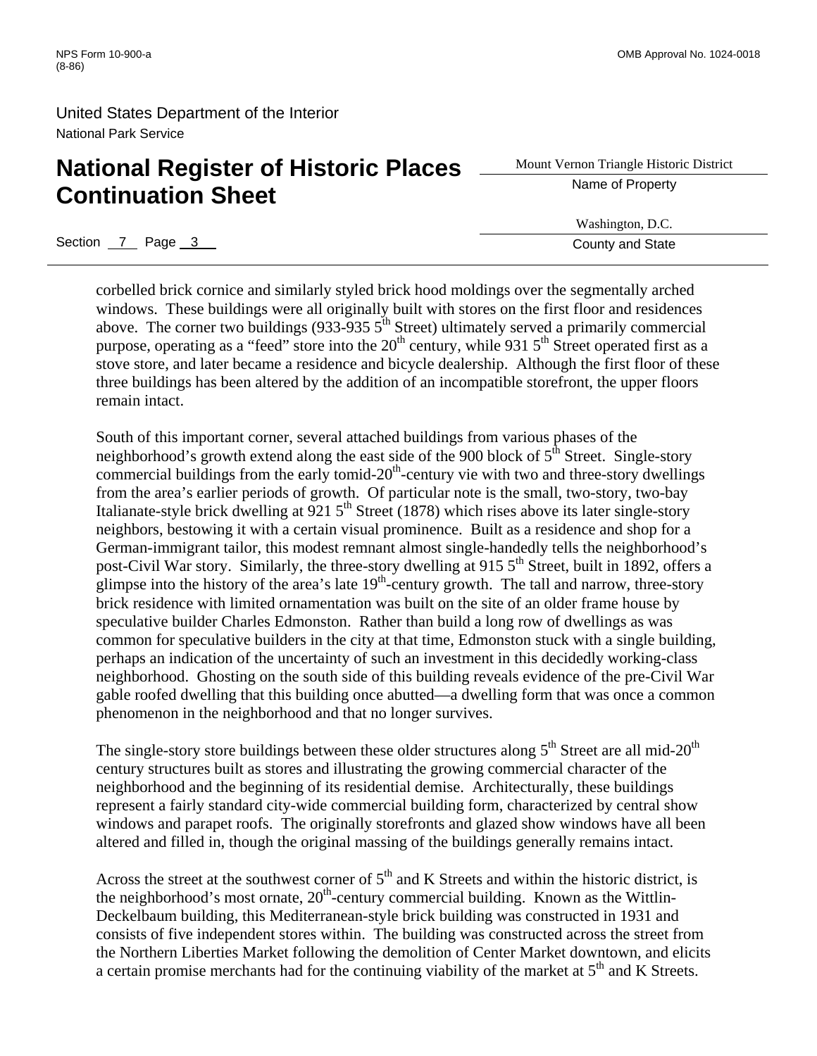# **National Register of Historic Places** <u>Superior Triangle Histor</u><br> **Aname of Property Continuation Sheet**

Mount Vernon Triangle Historic District

Washington, D.C.

Section 7 Page 3 County and State

corbelled brick cornice and similarly styled brick hood moldings over the segmentally arched windows. These buildings were all originally built with stores on the first floor and residences above. The corner two buildings (933-935  $5<sup>th</sup>$  Street) ultimately served a primarily commercial purpose, operating as a "feed" store into the  $20<sup>th</sup>$  century, while 931  $5<sup>th</sup>$  Street operated first as a stove store, and later became a residence and bicycle dealership. Although the first floor of these three buildings has been altered by the addition of an incompatible storefront, the upper floors remain intact.

South of this important corner, several attached buildings from various phases of the neighborhood's growth extend along the east side of the 900 block of  $5<sup>th</sup>$  Street. Single-story commercial buildings from the early tomid- $20<sup>th</sup>$ -century vie with two and three-story dwellings from the area's earlier periods of growth. Of particular note is the small, two-story, two-bay Italianate-style brick dwelling at  $921.5<sup>th</sup>$  Street (1878) which rises above its later single-story neighbors, bestowing it with a certain visual prominence. Built as a residence and shop for a German-immigrant tailor, this modest remnant almost single-handedly tells the neighborhood's post-Civil War story. Similarly, the three-story dwelling at 915 5<sup>th</sup> Street, built in 1892, offers a glimpse into the history of the area's late  $19<sup>th</sup>$ -century growth. The tall and narrow, three-story brick residence with limited ornamentation was built on the site of an older frame house by speculative builder Charles Edmonston. Rather than build a long row of dwellings as was common for speculative builders in the city at that time, Edmonston stuck with a single building, perhaps an indication of the uncertainty of such an investment in this decidedly working-class neighborhood. Ghosting on the south side of this building reveals evidence of the pre-Civil War gable roofed dwelling that this building once abutted—a dwelling form that was once a common phenomenon in the neighborhood and that no longer survives.

The single-story store buildings between these older structures along  $5<sup>th</sup>$  Street are all mid-20<sup>th</sup> century structures built as stores and illustrating the growing commercial character of the neighborhood and the beginning of its residential demise. Architecturally, these buildings represent a fairly standard city-wide commercial building form, characterized by central show windows and parapet roofs. The originally storefronts and glazed show windows have all been altered and filled in, though the original massing of the buildings generally remains intact.

Across the street at the southwest corner of  $5<sup>th</sup>$  and K Streets and within the historic district, is the neighborhood's most ornate,  $20<sup>th</sup>$ -century commercial building. Known as the Wittlin-Deckelbaum building, this Mediterranean-style brick building was constructed in 1931 and consists of five independent stores within. The building was constructed across the street from the Northern Liberties Market following the demolition of Center Market downtown, and elicits a certain promise merchants had for the continuing viability of the market at  $5<sup>th</sup>$  and K Streets.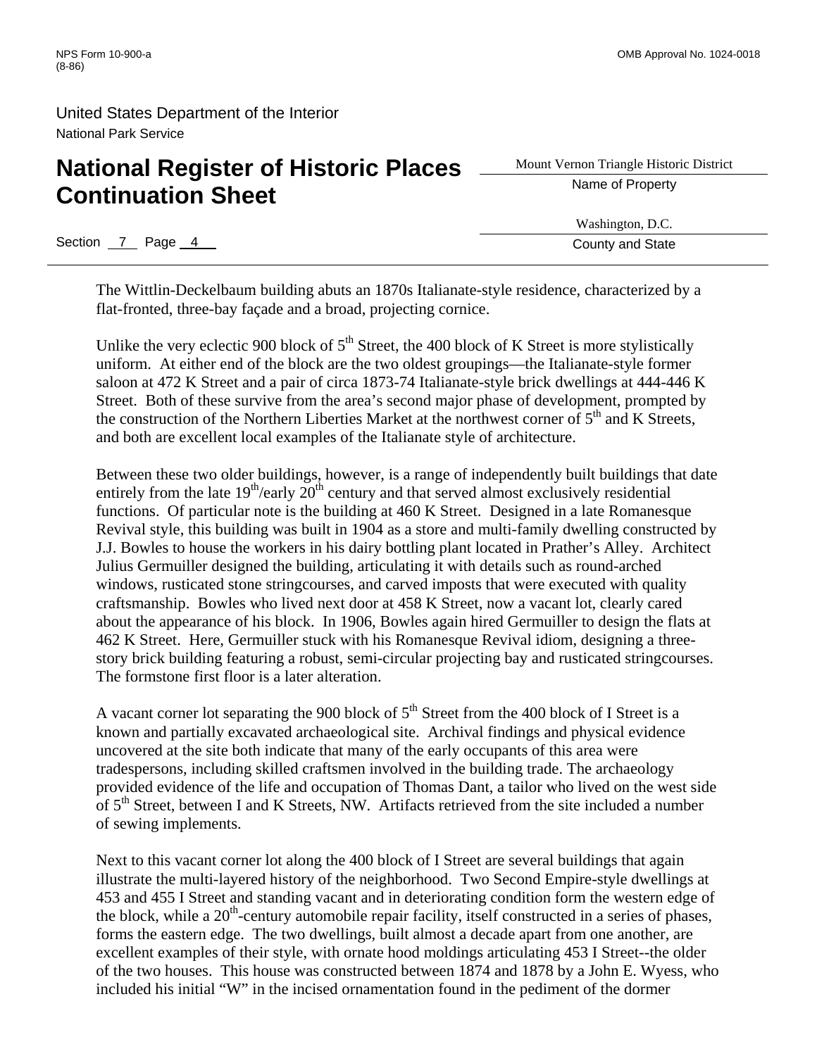# **National Register of Historic Places** <u>Superior Triangle Histor</u> **Continuation Sheet**

Mount Vernon Triangle Historic District

Washington, D.C. Section 7 Page 4 County and State

The Wittlin-Deckelbaum building abuts an 1870s Italianate-style residence, characterized by a flat-fronted, three-bay façade and a broad, projecting cornice.

Unlike the very eclectic 900 block of  $5<sup>th</sup>$  Street, the 400 block of K Street is more stylistically uniform. At either end of the block are the two oldest groupings—the Italianate-style former saloon at 472 K Street and a pair of circa 1873-74 Italianate-style brick dwellings at 444-446 K Street. Both of these survive from the area's second major phase of development, prompted by the construction of the Northern Liberties Market at the northwest corner of  $5<sup>th</sup>$  and K Streets. and both are excellent local examples of the Italianate style of architecture.

Between these two older buildings, however, is a range of independently built buildings that date entirely from the late  $19^{th}/e$ arly  $20^{th}$  century and that served almost exclusively residential functions. Of particular note is the building at 460 K Street. Designed in a late Romanesque Revival style, this building was built in 1904 as a store and multi-family dwelling constructed by J.J. Bowles to house the workers in his dairy bottling plant located in Prather's Alley. Architect Julius Germuiller designed the building, articulating it with details such as round-arched windows, rusticated stone stringcourses, and carved imposts that were executed with quality craftsmanship. Bowles who lived next door at 458 K Street, now a vacant lot, clearly cared about the appearance of his block. In 1906, Bowles again hired Germuiller to design the flats at 462 K Street. Here, Germuiller stuck with his Romanesque Revival idiom, designing a threestory brick building featuring a robust, semi-circular projecting bay and rusticated stringcourses. The formstone first floor is a later alteration.

A vacant corner lot separating the 900 block of  $5<sup>th</sup>$  Street from the 400 block of I Street is a known and partially excavated archaeological site. Archival findings and physical evidence uncovered at the site both indicate that many of the early occupants of this area were tradespersons, including skilled craftsmen involved in the building trade. The archaeology provided evidence of the life and occupation of Thomas Dant, a tailor who lived on the west side of 5<sup>th</sup> Street, between I and K Streets, NW. Artifacts retrieved from the site included a number of sewing implements.

Next to this vacant corner lot along the 400 block of I Street are several buildings that again illustrate the multi-layered history of the neighborhood. Two Second Empire-style dwellings at 453 and 455 I Street and standing vacant and in deteriorating condition form the western edge of the block, while a  $20<sup>th</sup>$ -century automobile repair facility, itself constructed in a series of phases, forms the eastern edge. The two dwellings, built almost a decade apart from one another, are excellent examples of their style, with ornate hood moldings articulating 453 I Street--the older of the two houses. This house was constructed between 1874 and 1878 by a John E. Wyess, who included his initial "W" in the incised ornamentation found in the pediment of the dormer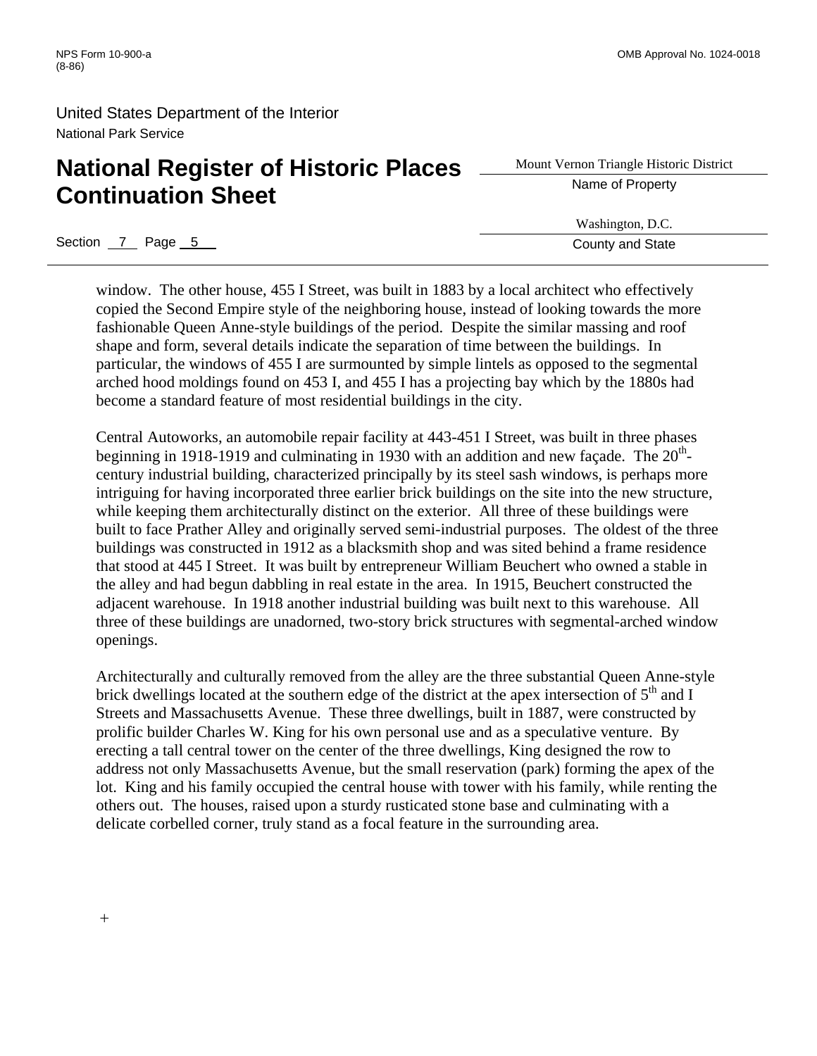# **National Register of Historic Places** <u>Superior Triangle Histor</u> **Continuation Sheet**

Mount Vernon Triangle Historic District

Washington, D.C.

Section 7 Page 5 County and State

window. The other house, 455 I Street, was built in 1883 by a local architect who effectively copied the Second Empire style of the neighboring house, instead of looking towards the more fashionable Queen Anne-style buildings of the period. Despite the similar massing and roof shape and form, several details indicate the separation of time between the buildings. In particular, the windows of 455 I are surmounted by simple lintels as opposed to the segmental arched hood moldings found on 453 I, and 455 I has a projecting bay which by the 1880s had become a standard feature of most residential buildings in the city.

Central Autoworks, an automobile repair facility at 443-451 I Street, was built in three phases beginning in 1918-1919 and culminating in 1930 with an addition and new façade. The  $20<sup>th</sup>$ century industrial building, characterized principally by its steel sash windows, is perhaps more intriguing for having incorporated three earlier brick buildings on the site into the new structure, while keeping them architecturally distinct on the exterior. All three of these buildings were built to face Prather Alley and originally served semi-industrial purposes. The oldest of the three buildings was constructed in 1912 as a blacksmith shop and was sited behind a frame residence that stood at 445 I Street. It was built by entrepreneur William Beuchert who owned a stable in the alley and had begun dabbling in real estate in the area. In 1915, Beuchert constructed the adjacent warehouse. In 1918 another industrial building was built next to this warehouse. All three of these buildings are unadorned, two-story brick structures with segmental-arched window openings.

Architecturally and culturally removed from the alley are the three substantial Queen Anne-style brick dwellings located at the southern edge of the district at the apex intersection of  $5<sup>th</sup>$  and I Streets and Massachusetts Avenue. These three dwellings, built in 1887, were constructed by prolific builder Charles W. King for his own personal use and as a speculative venture. By erecting a tall central tower on the center of the three dwellings, King designed the row to address not only Massachusetts Avenue, but the small reservation (park) forming the apex of the lot. King and his family occupied the central house with tower with his family, while renting the others out. The houses, raised upon a sturdy rusticated stone base and culminating with a delicate corbelled corner, truly stand as a focal feature in the surrounding area.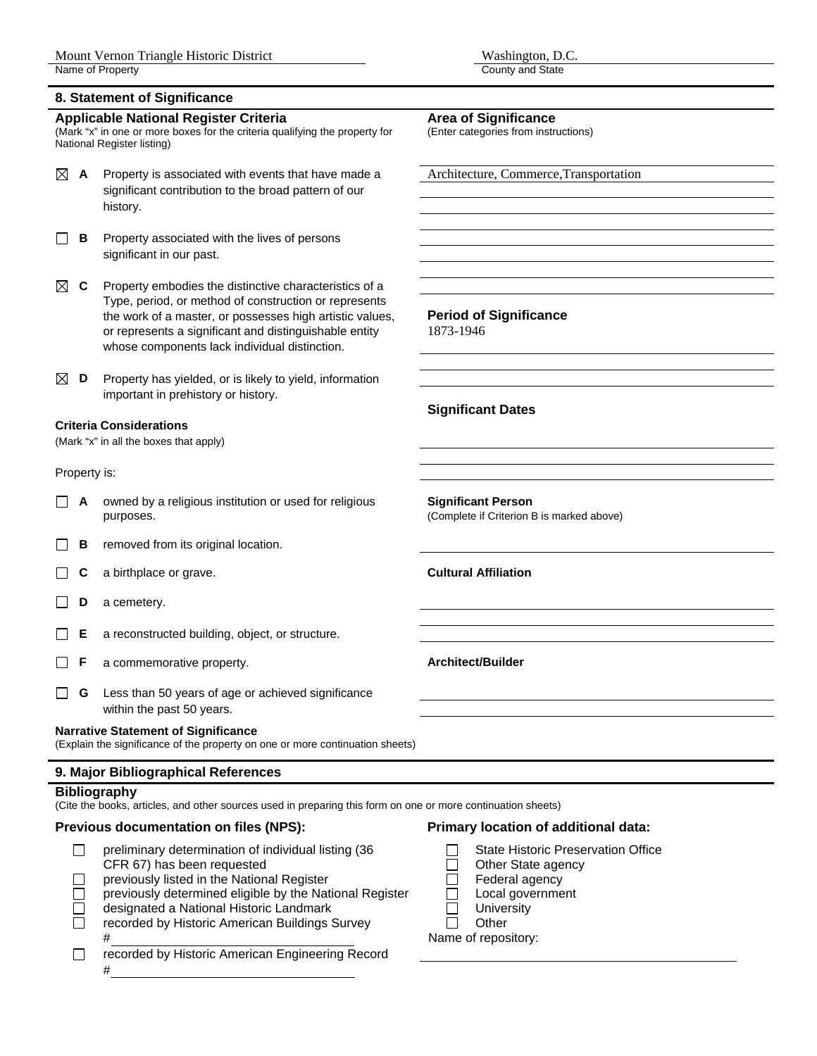#### **8. Statement of Significance**

#### Applicable National Register Criteria **Area of Significance**

(Mark "x" in one or more boxes for the criteria qualifying the property for National Register listing)

- $\boxtimes$  **A** Property is associated with events that have made a  $\Box$  Architecture, Commerce, Transportation significant contribution to the broad pattern of our history.
- **B** Property associated with the lives of persons significant in our past.
- $\boxtimes$  **C** Property embodies the distinctive characteristics of a Type, period, or method of construction or represents the work of a master, or possesses high artistic values, **Period of Significance**  or represents a significant and distinguishable entity 1873-1946 whose components lack individual distinction.
- $\boxtimes$  **D** Property has yielded, or is likely to yield, information important in prehistory or history.

#### **Criteria Considerations**

(Mark "x" in all the boxes that apply)

#### Property is:

- **A** owned by a religious institution or used for religious **Significant Person**  purposes. (Complete if Criterion B is marked above)
- **B** removed from its original location.
- **C** a birthplace or grave. **Cultural Affiliation**   $\Box$
- **D** a cemetery.  $\Box$
- **E** a reconstructed building, object, or structure. П
- **F** a commemorative property. **Architect/Builder**  П
- $\Box$ **G** Less than 50 years of age or achieved significance within the past 50 years.

#### **Narrative Statement of Significance**

(Explain the significance of the property on one or more continuation sheets)

#### **9. Major Bibliographical References**

#### **Bibliography**

(Cite the books, articles, and other sources used in preparing this form on one or more continuation sheets)

#### **Previous documentation on files (NPS): Primary location of additional data:**

- preliminary determination of individual listing  $(36 \qquad \qquad \Box$  State Historic Preservation Office
- CFR 67) has been requested  $\Box$  Other State agency<br>previously listed in the National Register  $\Box$  Federal agency previously listed in the National Register  $\Box$  Federal agency
- previously determined eligible by the National Register  $\Box$  Local government
- designated a National Historic Landmark  $\Box$  University<br>recorded by Historic American Buildings Survey  $\Box$  Other
- $\Box$ recorded by Historic American Buildings Survey
- # Name of repository:  $\Box$ recorded by Historic American Engineering Record #

(Enter categories from instructions)

#### **Significant Dates**

- 
- 
- 
- 
- 
-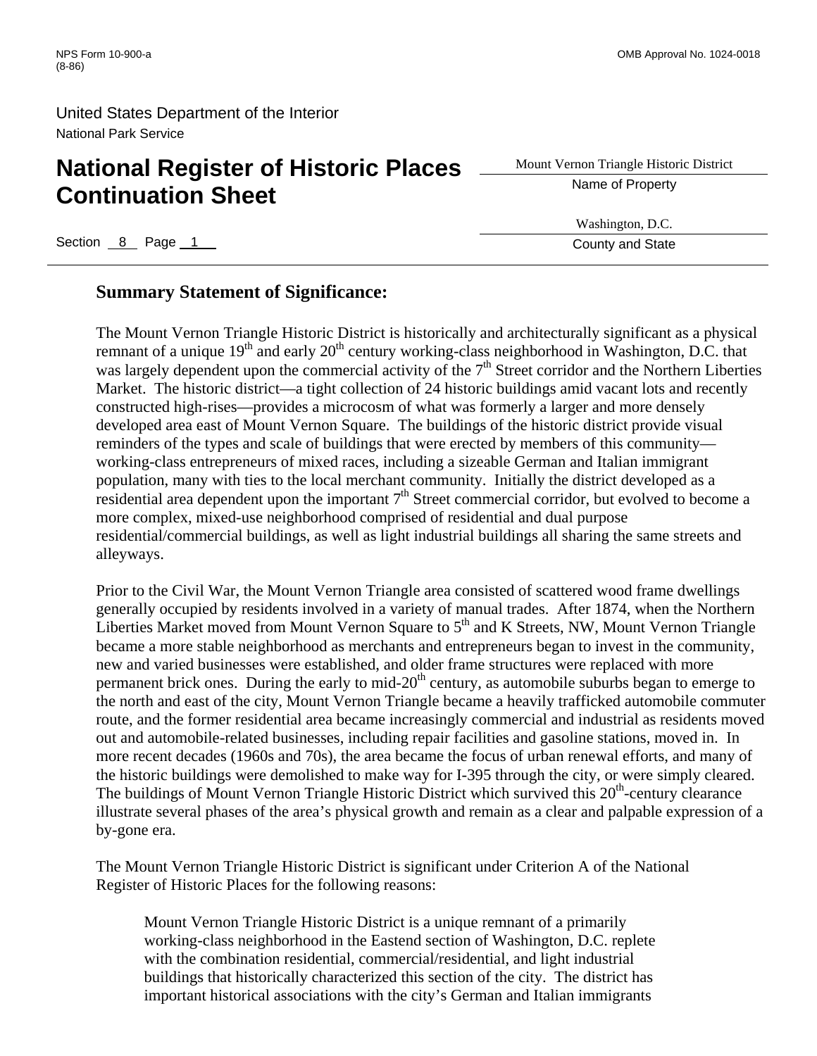# **National Register of Historic Places** <u>Superior Triangle Histor</u><br> **Aname of Property Continuation Sheet**

Section 8 Page 1 County and State 3 Page 1 County and State 3 Page 2 Page 2 Page 2 Page 2 Page 2 Page 2 Page 2 Page 2 Page 2 Page 2 Page 2 Page 2 Page 2 Page 2 Page 2 Page 2 Page 2 Page 2 Page 2 Page 2 Page 2 Page 2 Page 2

# Mount Vernon Triangle Historic District

Washington, D.C.

#### **Summary Statement of Significance:**

The Mount Vernon Triangle Historic District is historically and architecturally significant as a physical remnant of a unique  $19<sup>th</sup>$  and early  $20<sup>th</sup>$  century working-class neighborhood in Washington, D.C. that was largely dependent upon the commercial activity of the  $7<sup>th</sup>$  Street corridor and the Northern Liberties Market. The historic district—a tight collection of 24 historic buildings amid vacant lots and recently constructed high-rises—provides a microcosm of what was formerly a larger and more densely developed area east of Mount Vernon Square. The buildings of the historic district provide visual reminders of the types and scale of buildings that were erected by members of this community working-class entrepreneurs of mixed races, including a sizeable German and Italian immigrant population, many with ties to the local merchant community. Initially the district developed as a residential area dependent upon the important  $7<sup>th</sup>$  Street commercial corridor, but evolved to become a more complex, mixed-use neighborhood comprised of residential and dual purpose residential/commercial buildings, as well as light industrial buildings all sharing the same streets and alleyways.

Prior to the Civil War, the Mount Vernon Triangle area consisted of scattered wood frame dwellings generally occupied by residents involved in a variety of manual trades. After 1874, when the Northern Liberties Market moved from Mount Vernon Square to  $5<sup>th</sup>$  and K Streets, NW, Mount Vernon Triangle became a more stable neighborhood as merchants and entrepreneurs began to invest in the community, new and varied businesses were established, and older frame structures were replaced with more permanent brick ones. During the early to mid-20<sup>th</sup> century, as automobile suburbs began to emerge to the north and east of the city, Mount Vernon Triangle became a heavily trafficked automobile commuter route, and the former residential area became increasingly commercial and industrial as residents moved out and automobile-related businesses, including repair facilities and gasoline stations, moved in. In more recent decades (1960s and 70s), the area became the focus of urban renewal efforts, and many of the historic buildings were demolished to make way for I-395 through the city, or were simply cleared. The buildings of Mount Vernon Triangle Historic District which survived this  $20<sup>th</sup>$ -century clearance illustrate several phases of the area's physical growth and remain as a clear and palpable expression of a by-gone era.

The Mount Vernon Triangle Historic District is significant under Criterion A of the National Register of Historic Places for the following reasons:

Mount Vernon Triangle Historic District is a unique remnant of a primarily working-class neighborhood in the Eastend section of Washington, D.C. replete with the combination residential, commercial/residential, and light industrial buildings that historically characterized this section of the city. The district has important historical associations with the city's German and Italian immigrants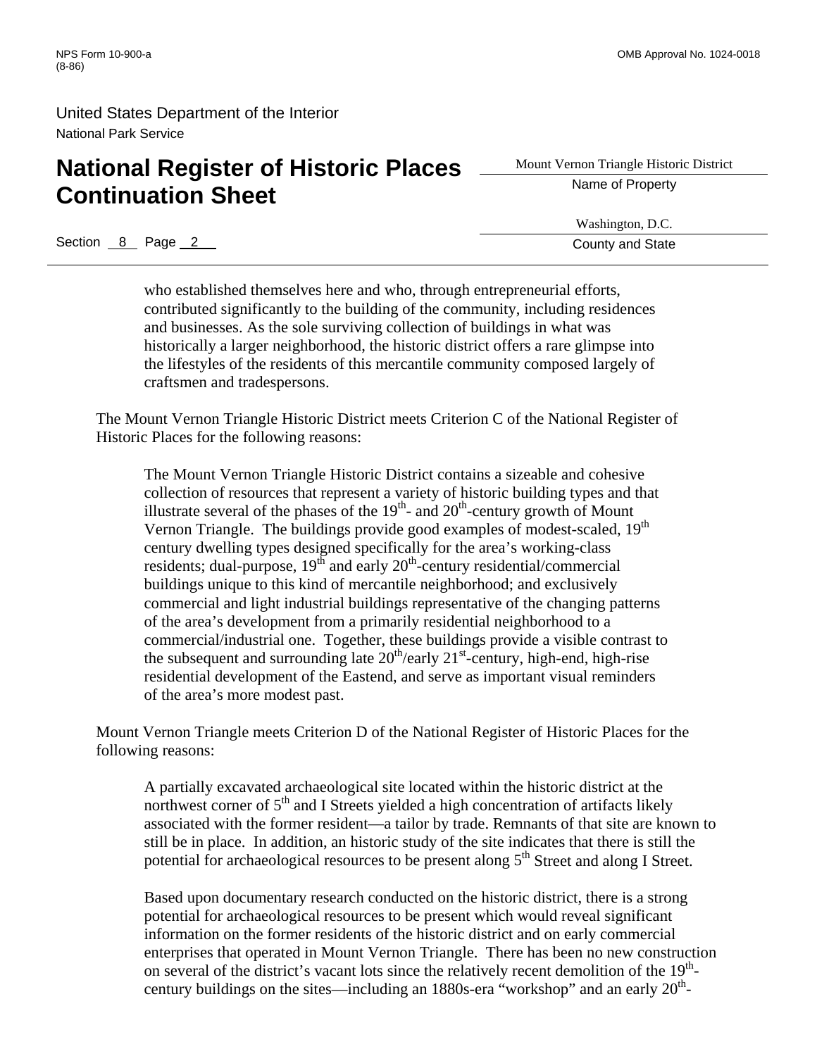# **National Register of Historic Places** <u>Superior Triangle Histor</u> **Continuation Sheet**

Mount Vernon Triangle Historic District

Washington, D.C.

Section 8 Page 2 County and State

who established themselves here and who, through entrepreneurial efforts, contributed significantly to the building of the community, including residences and businesses. As the sole surviving collection of buildings in what was historically a larger neighborhood, the historic district offers a rare glimpse into the lifestyles of the residents of this mercantile community composed largely of craftsmen and tradespersons.

The Mount Vernon Triangle Historic District meets Criterion C of the National Register of Historic Places for the following reasons:

The Mount Vernon Triangle Historic District contains a sizeable and cohesive collection of resources that represent a variety of historic building types and that illustrate several of the phases of the  $19<sup>th</sup>$ - and  $20<sup>th</sup>$ -century growth of Mount Vernon Triangle. The buildings provide good examples of modest-scaled, 19<sup>th</sup> century dwelling types designed specifically for the area's working-class residents; dual-purpose,  $19<sup>th</sup>$  and early  $20<sup>th</sup>$ -century residential/commercial buildings unique to this kind of mercantile neighborhood; and exclusively commercial and light industrial buildings representative of the changing patterns of the area's development from a primarily residential neighborhood to a commercial/industrial one. Together, these buildings provide a visible contrast to the subsequent and surrounding late  $20<sup>th</sup>/early$   $21<sup>st</sup>$ -century, high-end, high-rise residential development of the Eastend, and serve as important visual reminders of the area's more modest past.

Mount Vernon Triangle meets Criterion D of the National Register of Historic Places for the following reasons:

A partially excavated archaeological site located within the historic district at the northwest corner of  $5<sup>th</sup>$  and I Streets yielded a high concentration of artifacts likely associated with the former resident—a tailor by trade. Remnants of that site are known to still be in place. In addition, an historic study of the site indicates that there is still the potential for archaeological resources to be present along  $5<sup>th</sup>$  Street and along I Street.

Based upon documentary research conducted on the historic district, there is a strong potential for archaeological resources to be present which would reveal significant information on the former residents of the historic district and on early commercial enterprises that operated in Mount Vernon Triangle. There has been no new construction on several of the district's vacant lots since the relatively recent demolition of the  $19<sup>th</sup>$ century buildings on the sites—including an  $1880$ s-era "workshop" and an early  $20<sup>th</sup>$ -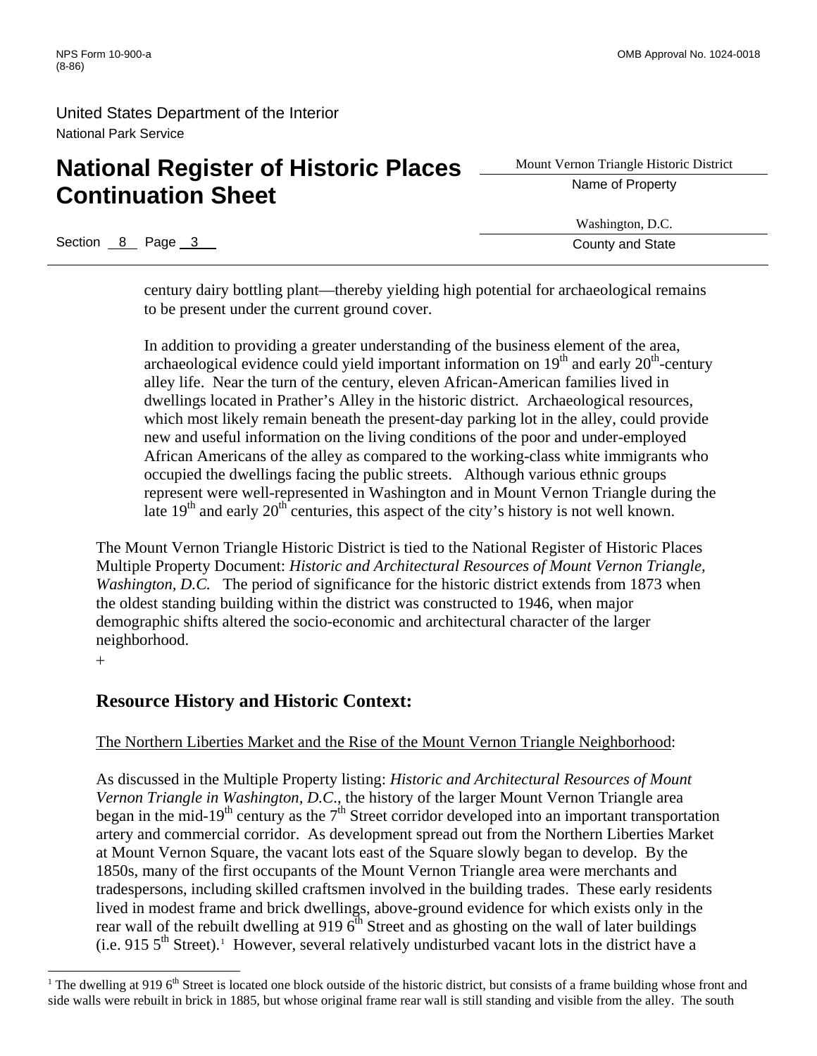# **National Register of Historic Places** <u>Superior Triangle Histor</u> **Continuation Sheet**

Mount Vernon Triangle Historic District

Washington, D.C.

Section 8 Page 3 County and State 3 County and State 3 County and State

century dairy bottling plant—thereby yielding high potential for archaeological remains to be present under the current ground cover.

In addition to providing a greater understanding of the business element of the area, archaeological evidence could yield important information on  $19<sup>th</sup>$  and early  $20<sup>th</sup>$ -century alley life. Near the turn of the century, eleven African-American families lived in dwellings located in Prather's Alley in the historic district. Archaeological resources, which most likely remain beneath the present-day parking lot in the alley, could provide new and useful information on the living conditions of the poor and under-employed African Americans of the alley as compared to the working-class white immigrants who occupied the dwellings facing the public streets. Although various ethnic groups represent were well-represented in Washington and in Mount Vernon Triangle during the late  $19<sup>th</sup>$  and early  $20<sup>th</sup>$  centuries, this aspect of the city's history is not well known.

The Mount Vernon Triangle Historic District is tied to the National Register of Historic Places Multiple Property Document: *Historic and Architectural Resources of Mount Vernon Triangle, Washington, D.C.* The period of significance for the historic district extends from 1873 when the oldest standing building within the district was constructed to 1946, when major demographic shifts altered the socio-economic and architectural character of the larger neighborhood.

+

 $\overline{a}$ 

## **Resource History and Historic Context:**

#### The Northern Liberties Market and the Rise of the Mount Vernon Triangle Neighborhood:

As discussed in the Multiple Property listing: *Historic and Architectural Resources of Mount Vernon Triangle in Washington, D.C*., the history of the larger Mount Vernon Triangle area began in the mid-19<sup>th</sup> century as the  $7<sup>th</sup>$  Street corridor developed into an important transportation artery and commercial corridor. As development spread out from the Northern Liberties Market at Mount Vernon Square, the vacant lots east of the Square slowly began to develop. By the 1850s, many of the first occupants of the Mount Vernon Triangle area were merchants and tradespersons, including skilled craftsmen involved in the building trades. These early residents lived in modest frame and brick dwellings, above-ground evidence for which exists only in the rear wall of the rebuilt dwelling at 919  $6<sup>th</sup>$  Street and as ghosting on the wall of later buildings  $(i.e. 915 5<sup>th</sup> Street).$  $(i.e. 915 5<sup>th</sup> Street).$  $(i.e. 915 5<sup>th</sup> Street).$ <sup>1</sup> However, several relatively undisturbed vacant lots in the district have a

<span id="page-10-0"></span><sup>&</sup>lt;sup>1</sup> The dwelling at 919  $6<sup>th</sup>$  Street is located one block outside of the historic district, but consists of a frame building whose front and side walls were rebuilt in brick in 1885, but whose original frame rear wall is still standing and visible from the alley. The south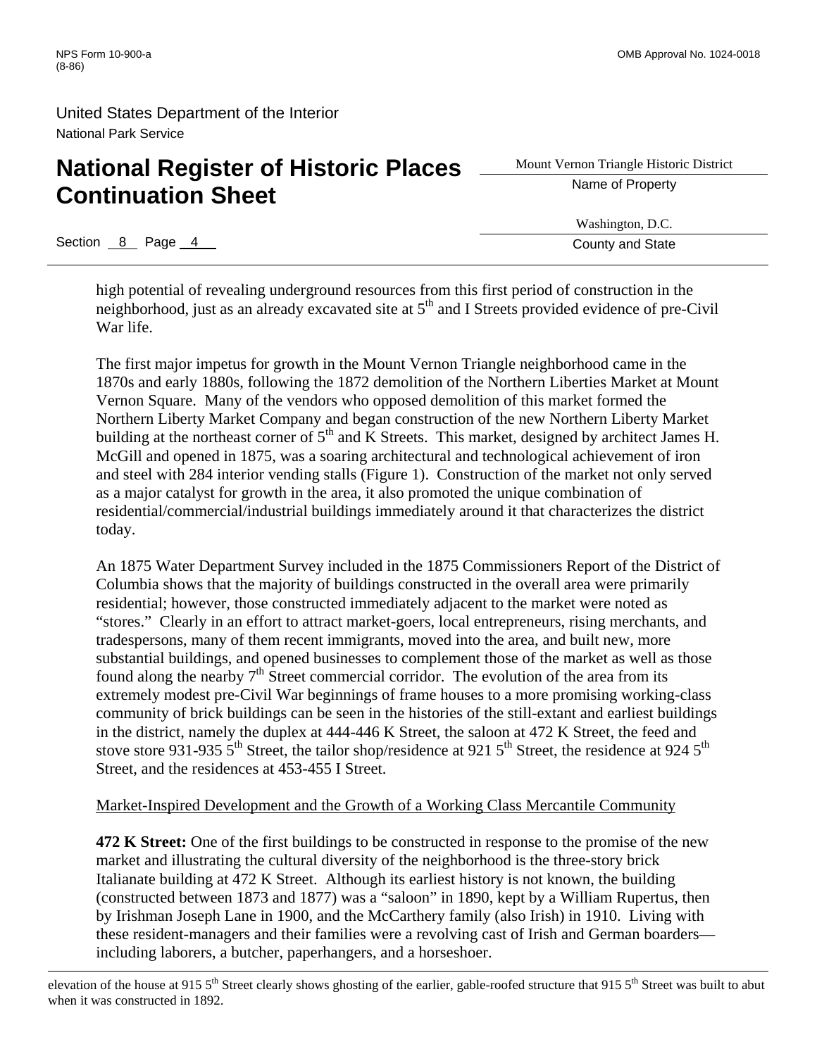# **National Register of Historic Places** <u>Statement Triangle Histor</u> **Continuation Sheet**

Section 8 Page 4 County and State

 $\overline{a}$ 

Mount Vernon Triangle Historic District

Washington, D.C.

high potential of revealing underground resources from this first period of construction in the neighborhood, just as an already excavated site at 5<sup>th</sup> and I Streets provided evidence of pre-Civil War life.

The first major impetus for growth in the Mount Vernon Triangle neighborhood came in the 1870s and early 1880s, following the 1872 demolition of the Northern Liberties Market at Mount Vernon Square. Many of the vendors who opposed demolition of this market formed the Northern Liberty Market Company and began construction of the new Northern Liberty Market building at the northeast corner of 5<sup>th</sup> and K Streets. This market, designed by architect James H. McGill and opened in 1875, was a soaring architectural and technological achievement of iron and steel with 284 interior vending stalls (Figure 1). Construction of the market not only served as a major catalyst for growth in the area, it also promoted the unique combination of residential/commercial/industrial buildings immediately around it that characterizes the district today.

An 1875 Water Department Survey included in the 1875 Commissioners Report of the District of Columbia shows that the majority of buildings constructed in the overall area were primarily residential; however, those constructed immediately adjacent to the market were noted as "stores." Clearly in an effort to attract market-goers, local entrepreneurs, rising merchants, and tradespersons, many of them recent immigrants, moved into the area, and built new, more substantial buildings, and opened businesses to complement those of the market as well as those found along the nearby  $7<sup>th</sup>$  Street commercial corridor. The evolution of the area from its extremely modest pre-Civil War beginnings of frame houses to a more promising working-class community of brick buildings can be seen in the histories of the still-extant and earliest buildings in the district, namely the duplex at 444-446 K Street, the saloon at 472 K Street, the feed and stove store 931-935  $5<sup>th</sup>$  Street, the tailor shop/residence at 921  $5<sup>th</sup>$  Street, the residence at 924  $5<sup>th</sup>$ Street, and the residences at 453-455 I Street.

#### Market-Inspired Development and the Growth of a Working Class Mercantile Community

**472 K Street:** One of the first buildings to be constructed in response to the promise of the new market and illustrating the cultural diversity of the neighborhood is the three-story brick Italianate building at 472 K Street. Although its earliest history is not known, the building (constructed between 1873 and 1877) was a "saloon" in 1890, kept by a William Rupertus, then by Irishman Joseph Lane in 1900, and the McCarthery family (also Irish) in 1910. Living with these resident-managers and their families were a revolving cast of Irish and German boarders including laborers, a butcher, paperhangers, and a horseshoer.

elevation of the house at 915 5<sup>th</sup> Street clearly shows ghosting of the earlier, gable-roofed structure that 915 5<sup>th</sup> Street was built to abut when it was constructed in 1892.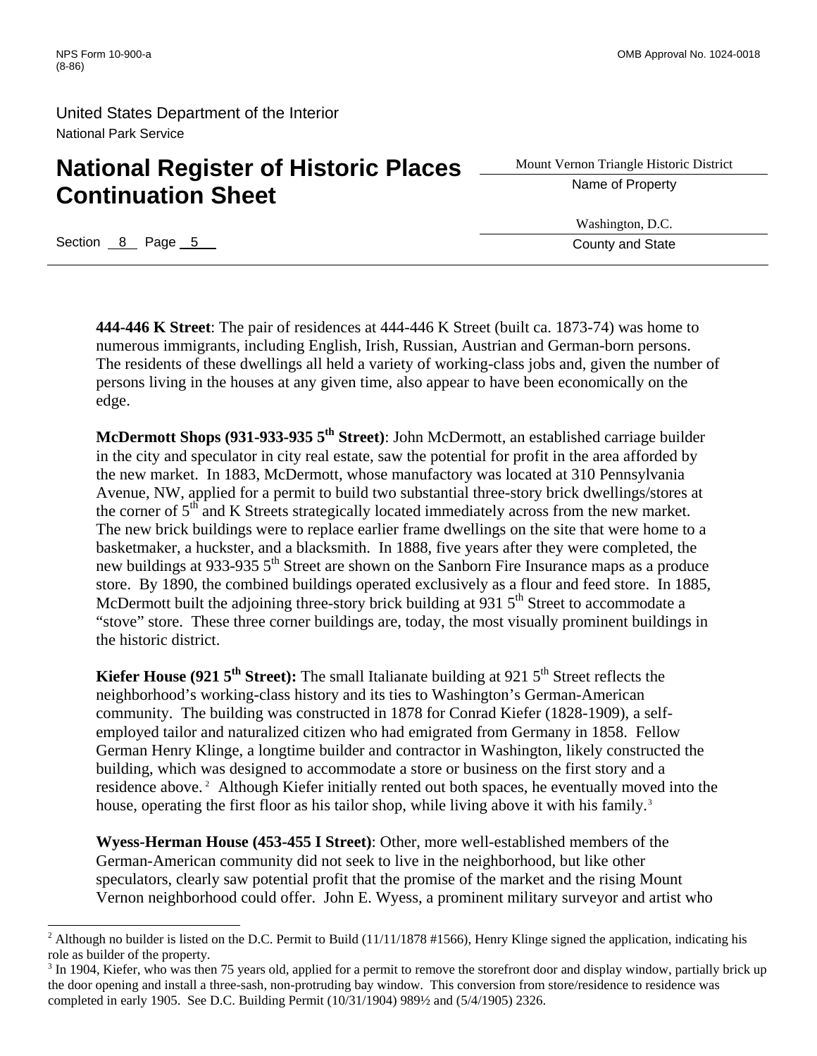# **National Register of Historic Places** <u>Superior Triangle Histor</u> **Continuation Sheet**

Mount Vernon Triangle Historic District

Washington, D.C.

Section 8 Page 5 County and State Section 8 Page 5 County and State

 $\overline{a}$ 

**444-446 K Street**: The pair of residences at 444-446 K Street (built ca. 1873-74) was home to numerous immigrants, including English, Irish, Russian, Austrian and German-born persons. The residents of these dwellings all held a variety of working-class jobs and, given the number of persons living in the houses at any given time, also appear to have been economically on the edge.

**McDermott Shops (931-933-935 5th Street)**: John McDermott, an established carriage builder in the city and speculator in city real estate, saw the potential for profit in the area afforded by the new market. In 1883, McDermott, whose manufactory was located at 310 Pennsylvania Avenue, NW, applied for a permit to build two substantial three-story brick dwellings/stores at the corner of  $5<sup>th</sup>$  and K Streets strategically located immediately across from the new market. The new brick buildings were to replace earlier frame dwellings on the site that were home to a basketmaker, a huckster, and a blacksmith. In 1888, five years after they were completed, the new buildings at 933-935 5<sup>th</sup> Street are shown on the Sanborn Fire Insurance maps as a produce store. By 1890, the combined buildings operated exclusively as a flour and feed store. In 1885, McDermott built the adjoining three-story brick building at  $931\,5^{th}$  Street to accommodate a "stove" store. These three corner buildings are, today, the most visually prominent buildings in the historic district.

**Kiefer House (921 5<sup>th</sup> Street):** The small Italianate building at 921 5<sup>th</sup> Street reflects the neighborhood's working-class history and its ties to Washington's German-American community. The building was constructed in 1878 for Conrad Kiefer (1828-1909), a selfemployed tailor and naturalized citizen who had emigrated from Germany in 1858. Fellow German Henry Klinge, a longtime builder and contractor in Washington, likely constructed the building, which was designed to accommodate a store or business on the first story and a residence above.<sup>[2](#page-12-0)</sup> Although Kiefer initially rented out both spaces, he eventually moved into the house, operating the first floor as his tailor shop, while living above it with his family.<sup>[3](#page-12-1)</sup>

**Wyess-Herman House (453-455 I Street)**: Other, more well-established members of the German-American community did not seek to live in the neighborhood, but like other speculators, clearly saw potential profit that the promise of the market and the rising Mount Vernon neighborhood could offer. John E. Wyess, a prominent military surveyor and artist who

<span id="page-12-0"></span><sup>&</sup>lt;sup>2</sup> Although no builder is listed on the D.C. Permit to Build (11/11/1878 #1566), Henry Klinge signed the application, indicating his role as builder of the property.

<span id="page-12-1"></span><sup>&</sup>lt;sup>3</sup> In 1904, Kiefer, who was then 75 years old, applied for a permit to remove the storefront door and display window, partially brick up the door opening and install a three-sash, non-protruding bay window. This conversion from store/residence to residence was completed in early 1905. See D.C. Building Permit (10/31/1904) 989½ and (5/4/1905) 2326.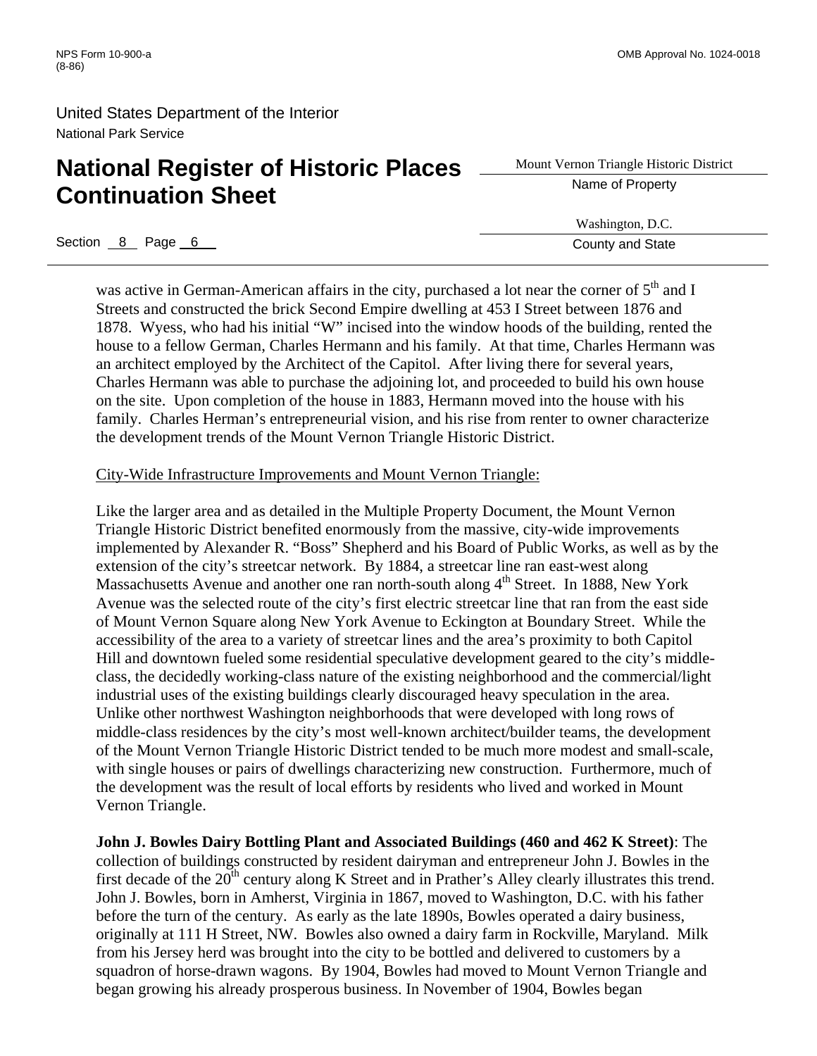# **National Register of Historic Places** <u>Superior Triangle Histor</u> **Continuation Sheet**

Mount Vernon Triangle Historic District

Washington, D.C.

Section 8 Page 6 County and State **6 County and State** 

was active in German-American affairs in the city, purchased a lot near the corner of  $5<sup>th</sup>$  and I Streets and constructed the brick Second Empire dwelling at 453 I Street between 1876 and 1878. Wyess, who had his initial "W" incised into the window hoods of the building, rented the house to a fellow German, Charles Hermann and his family. At that time, Charles Hermann was an architect employed by the Architect of the Capitol. After living there for several years, Charles Hermann was able to purchase the adjoining lot, and proceeded to build his own house on the site. Upon completion of the house in 1883, Hermann moved into the house with his family. Charles Herman's entrepreneurial vision, and his rise from renter to owner characterize the development trends of the Mount Vernon Triangle Historic District.

#### City-Wide Infrastructure Improvements and Mount Vernon Triangle:

Like the larger area and as detailed in the Multiple Property Document, the Mount Vernon Triangle Historic District benefited enormously from the massive, city-wide improvements implemented by Alexander R. "Boss" Shepherd and his Board of Public Works, as well as by the extension of the city's streetcar network. By 1884, a streetcar line ran east-west along Massachusetts Avenue and another one ran north-south along 4<sup>th</sup> Street. In 1888, New York Avenue was the selected route of the city's first electric streetcar line that ran from the east side of Mount Vernon Square along New York Avenue to Eckington at Boundary Street. While the accessibility of the area to a variety of streetcar lines and the area's proximity to both Capitol Hill and downtown fueled some residential speculative development geared to the city's middleclass, the decidedly working-class nature of the existing neighborhood and the commercial/light industrial uses of the existing buildings clearly discouraged heavy speculation in the area. Unlike other northwest Washington neighborhoods that were developed with long rows of middle-class residences by the city's most well-known architect/builder teams, the development of the Mount Vernon Triangle Historic District tended to be much more modest and small-scale, with single houses or pairs of dwellings characterizing new construction. Furthermore, much of the development was the result of local efforts by residents who lived and worked in Mount Vernon Triangle.

**John J. Bowles Dairy Bottling Plant and Associated Buildings (460 and 462 K Street)**: The collection of buildings constructed by resident dairyman and entrepreneur John J. Bowles in the first decade of the  $20<sup>th</sup>$  century along K Street and in Prather's Alley clearly illustrates this trend. John J. Bowles, born in Amherst, Virginia in 1867, moved to Washington, D.C. with his father before the turn of the century. As early as the late 1890s, Bowles operated a dairy business, originally at 111 H Street, NW. Bowles also owned a dairy farm in Rockville, Maryland. Milk from his Jersey herd was brought into the city to be bottled and delivered to customers by a squadron of horse-drawn wagons. By 1904, Bowles had moved to Mount Vernon Triangle and began growing his already prosperous business. In November of 1904, Bowles began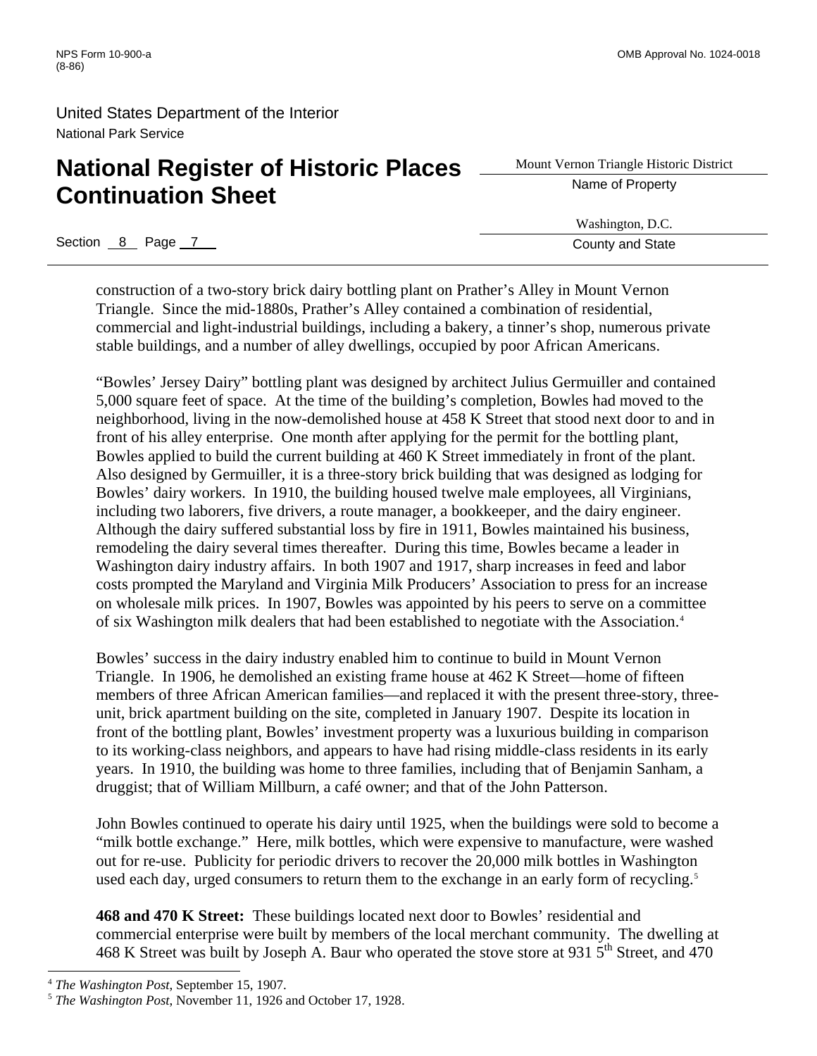# **National Register of Historic Places** <u>Superior Triangle Histor</u> **Continuation Sheet**

Mount Vernon Triangle Historic District

Washington, D.C.

Section 8 Page 7 County and State 8 Page 7 County and State 8 Page 7 County and State

construction of a two-story brick dairy bottling plant on Prather's Alley in Mount Vernon Triangle. Since the mid-1880s, Prather's Alley contained a combination of residential, commercial and light-industrial buildings, including a bakery, a tinner's shop, numerous private stable buildings, and a number of alley dwellings, occupied by poor African Americans.

"Bowles' Jersey Dairy" bottling plant was designed by architect Julius Germuiller and contained 5,000 square feet of space. At the time of the building's completion, Bowles had moved to the neighborhood, living in the now-demolished house at 458 K Street that stood next door to and in front of his alley enterprise. One month after applying for the permit for the bottling plant, Bowles applied to build the current building at 460 K Street immediately in front of the plant. Also designed by Germuiller, it is a three-story brick building that was designed as lodging for Bowles' dairy workers. In 1910, the building housed twelve male employees, all Virginians, including two laborers, five drivers, a route manager, a bookkeeper, and the dairy engineer. Although the dairy suffered substantial loss by fire in 1911, Bowles maintained his business, remodeling the dairy several times thereafter. During this time, Bowles became a leader in Washington dairy industry affairs. In both 1907 and 1917, sharp increases in feed and labor costs prompted the Maryland and Virginia Milk Producers' Association to press for an increase on wholesale milk prices. In 1907, Bowles was appointed by his peers to serve on a committee of six Washington milk dealers that had been established to negotiate with the Association.[4](#page-14-0)

Bowles' success in the dairy industry enabled him to continue to build in Mount Vernon Triangle. In 1906, he demolished an existing frame house at 462 K Street—home of fifteen members of three African American families—and replaced it with the present three-story, threeunit, brick apartment building on the site, completed in January 1907. Despite its location in front of the bottling plant, Bowles' investment property was a luxurious building in comparison to its working-class neighbors, and appears to have had rising middle-class residents in its early years. In 1910, the building was home to three families, including that of Benjamin Sanham, a druggist; that of William Millburn, a café owner; and that of the John Patterson.

John Bowles continued to operate his dairy until 1925, when the buildings were sold to become a "milk bottle exchange." Here, milk bottles, which were expensive to manufacture, were washed out for re-use. Publicity for periodic drivers to recover the 20,000 milk bottles in Washington used each day, urged consumers to return them to the exchange in an early form of recycling.<sup>[5](#page-14-1)</sup>

**468 and 470 K Street:** These buildings located next door to Bowles' residential and commercial enterprise were built by members of the local merchant community. The dwelling at 468 K Street was built by Joseph A. Baur who operated the stove store at 931  $5<sup>th</sup>$  Street, and 470

<span id="page-14-1"></span><span id="page-14-0"></span><sup>&</sup>lt;sup>4</sup> *The Washington Post*, September 15, 1907.<br><sup>5</sup> *The Washington Post*, November 11, 1926 and October 17, 1928.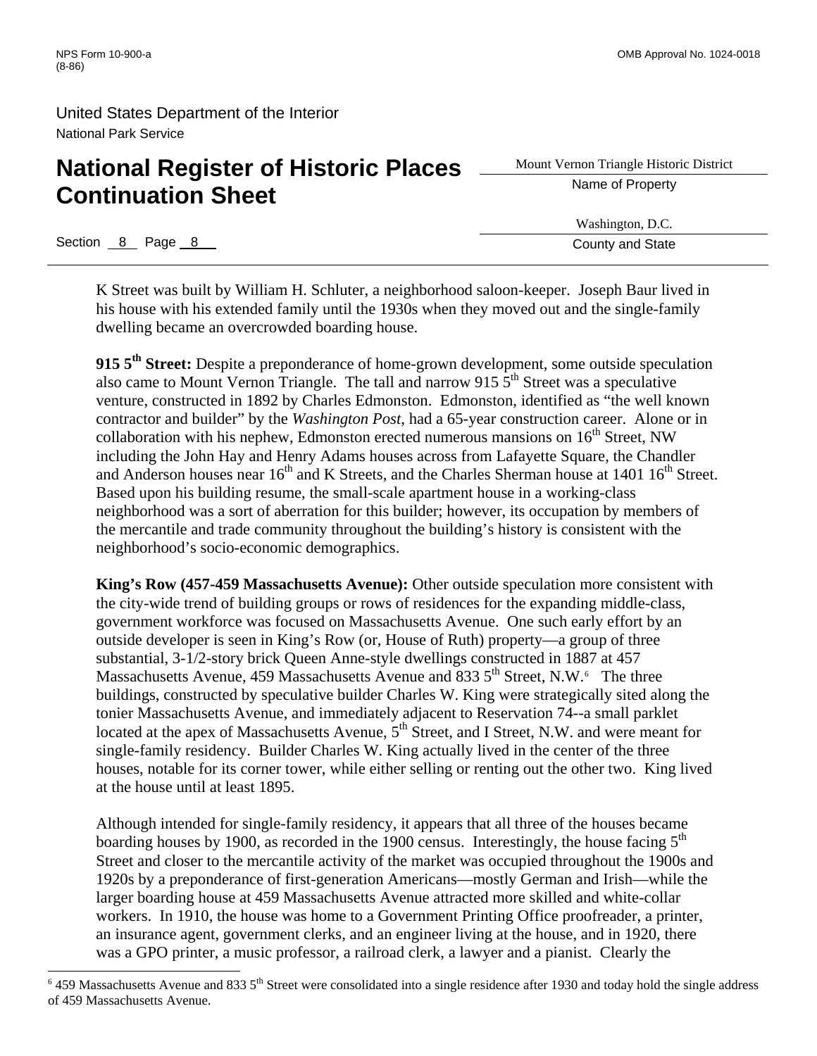# **National Register of Historic Places** <u>Advent Vernon Triangle Histor</u> **Continuation Sheet**

Mount Vernon Triangle Historic District

Washington, D.C.

Section 8 Page 8 County and State

 $\overline{a}$ 

K Street was built by William H. Schluter, a neighborhood saloon-keeper. Joseph Baur lived in his house with his extended family until the 1930s when they moved out and the single-family dwelling became an overcrowded boarding house.

**915 5th Street:** Despite a preponderance of home-grown development, some outside speculation also came to Mount Vernon Triangle. The tall and narrow 915  $\overline{5}^{\text{th}}$  Street was a speculative venture, constructed in 1892 by Charles Edmonston. Edmonston, identified as "the well known contractor and builder" by the *Washington Post*, had a 65-year construction career. Alone or in collaboration with his nephew, Edmonston erected numerous mansions on  $16<sup>th</sup>$  Street, NW including the John Hay and Henry Adams houses across from Lafayette Square, the Chandler and Anderson houses near  $16<sup>th</sup>$  and K Streets, and the Charles Sherman house at  $1401 \; 16<sup>th</sup>$  Street. Based upon his building resume, the small-scale apartment house in a working-class neighborhood was a sort of aberration for this builder; however, its occupation by members of the mercantile and trade community throughout the building's history is consistent with the neighborhood's socio-economic demographics.

**King's Row (457-459 Massachusetts Avenue):** Other outside speculation more consistent with the city-wide trend of building groups or rows of residences for the expanding middle-class, government workforce was focused on Massachusetts Avenue. One such early effort by an outside developer is seen in King's Row (or, House of Ruth) property—a group of three substantial, 3-1/2-story brick Queen Anne-style dwellings constructed in 1887 at 457 Massachusetts Avenue, 459 Massachusetts Avenue and 833 5<sup>th</sup> Street, N.W.<sup>[6](#page-15-0)</sup> The three buildings, constructed by speculative builder Charles W. King were strategically sited along the tonier Massachusetts Avenue, and immediately adjacent to Reservation 74--a small parklet located at the apex of Massachusetts Avenue,  $5<sup>th</sup>$  Street, and I Street, N.W. and were meant for single-family residency. Builder Charles W. King actually lived in the center of the three houses, notable for its corner tower, while either selling or renting out the other two. King lived at the house until at least 1895.

Although intended for single-family residency, it appears that all three of the houses became boarding houses by 1900, as recorded in the 1900 census. Interestingly, the house facing  $5<sup>th</sup>$ Street and closer to the mercantile activity of the market was occupied throughout the 1900s and 1920s by a preponderance of first-generation Americans—mostly German and Irish—while the larger boarding house at 459 Massachusetts Avenue attracted more skilled and white-collar workers. In 1910, the house was home to a Government Printing Office proofreader, a printer, an insurance agent, government clerks, and an engineer living at the house, and in 1920, there was a GPO printer, a music professor, a railroad clerk, a lawyer and a pianist. Clearly the

<span id="page-15-0"></span> $6$  459 Massachusetts Avenue and 833 5<sup>th</sup> Street were consolidated into a single residence after 1930 and today hold the single address of 459 Massachusetts Avenue.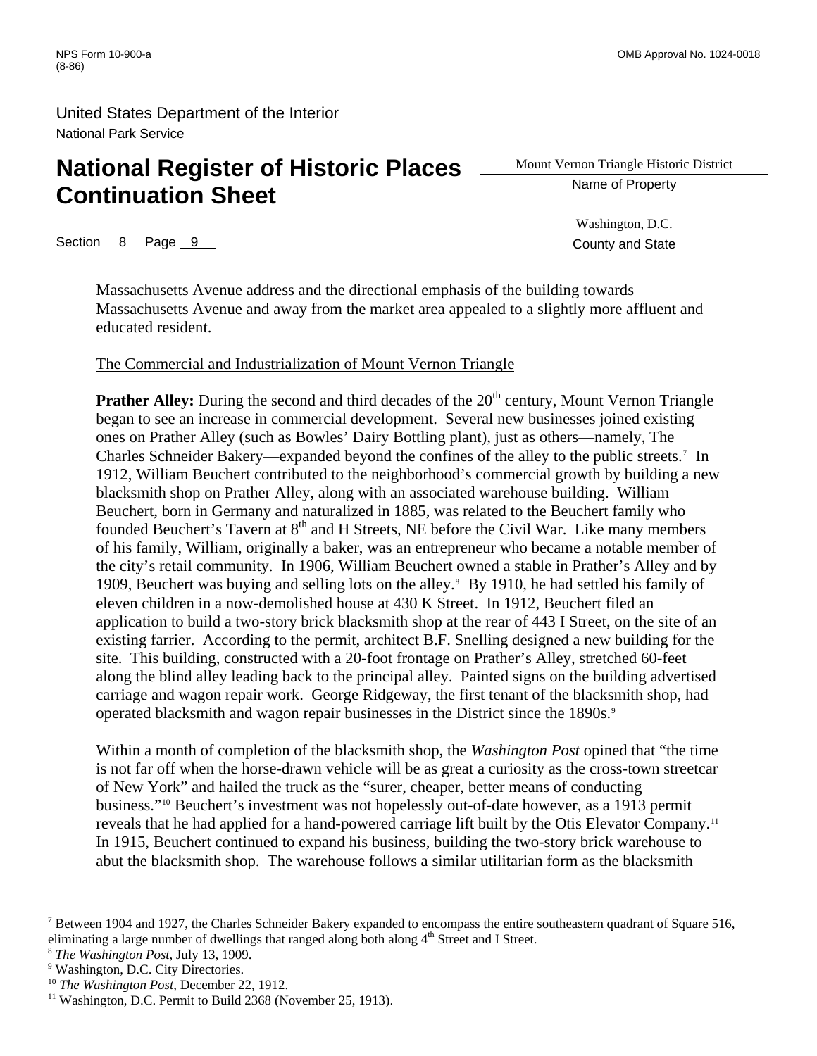# **National Register of Historic Places** <u>Adount Vernon Triangle Histor</u><br> **Constituted Places Continuation Sheet**

Mount Vernon Triangle Historic District

Section 8 Page 9 County and State **County and State** 

Washington, D.C.

Massachusetts Avenue address and the directional emphasis of the building towards Massachusetts Avenue and away from the market area appealed to a slightly more affluent and educated resident.

#### The Commercial and Industrialization of Mount Vernon Triangle

**Prather Alley:** During the second and third decades of the 20<sup>th</sup> century, Mount Vernon Triangle began to see an increase in commercial development. Several new businesses joined existing ones on Prather Alley (such as Bowles' Dairy Bottling plant), just as others—namely, The Charles Schneider Bakery—expanded beyond the confines of the alley to the public streets.[7](#page-16-0) In 1912, William Beuchert contributed to the neighborhood's commercial growth by building a new blacksmith shop on Prather Alley, along with an associated warehouse building. William Beuchert, born in Germany and naturalized in 1885, was related to the Beuchert family who founded Beuchert's Tavern at 8<sup>th</sup> and H Streets, NE before the Civil War. Like many members of his family, William, originally a baker, was an entrepreneur who became a notable member of the city's retail community. In 1906, William Beuchert owned a stable in Prather's Alley and by 1909, Beuchert was buying and selling lots on the alley.<sup>8</sup> By 1910, he had settled his family of eleven children in a now-demolished house at 430 K Street. In 1912, Beuchert filed an application to build a two-story brick blacksmith shop at the rear of 443 I Street, on the site of an existing farrier. According to the permit, architect B.F. Snelling designed a new building for the site. This building, constructed with a 20-foot frontage on Prather's Alley, stretched 60-feet along the blind alley leading back to the principal alley. Painted signs on the building advertised carriage and wagon repair work. George Ridgeway, the first tenant of the blacksmith shop, had operated blacksmith and wagon repair businesses in the District since the 18[9](#page-16-2)0s.<sup>9</sup>

Within a month of completion of the blacksmith shop, the *Washington Post* opined that "the time is not far off when the horse-drawn vehicle will be as great a curiosity as the cross-town streetcar of New York" and hailed the truck as the "surer, cheaper, better means of conducting business."[10](#page-16-3) Beuchert's investment was not hopelessly out-of-date however, as a 1913 permit reveals that he had applied for a hand-powered carriage lift built by the Otis Elevator Company.[11](#page-16-4) In 1915, Beuchert continued to expand his business, building the two-story brick warehouse to abut the blacksmith shop. The warehouse follows a similar utilitarian form as the blacksmith

l

<span id="page-16-0"></span> $7$  Between 1904 and 1927, the Charles Schneider Bakery expanded to encompass the entire southeastern quadrant of Square 516, eliminating a large number of dwellings that ranged along both along 4<sup>th</sup> Street and I Street. <sup>8</sup> *The Washington Post*, July 13, 1909.

<span id="page-16-1"></span>

<span id="page-16-2"></span><sup>&</sup>lt;sup>9</sup> Washington, D.C. City Directories.

<span id="page-16-4"></span><span id="page-16-3"></span><sup>&</sup>lt;sup>10</sup> *The Washington Post*, December 22, 1912.<br><sup>11</sup> Washington, D.C. Permit to Build 2368 (November 25, 1913).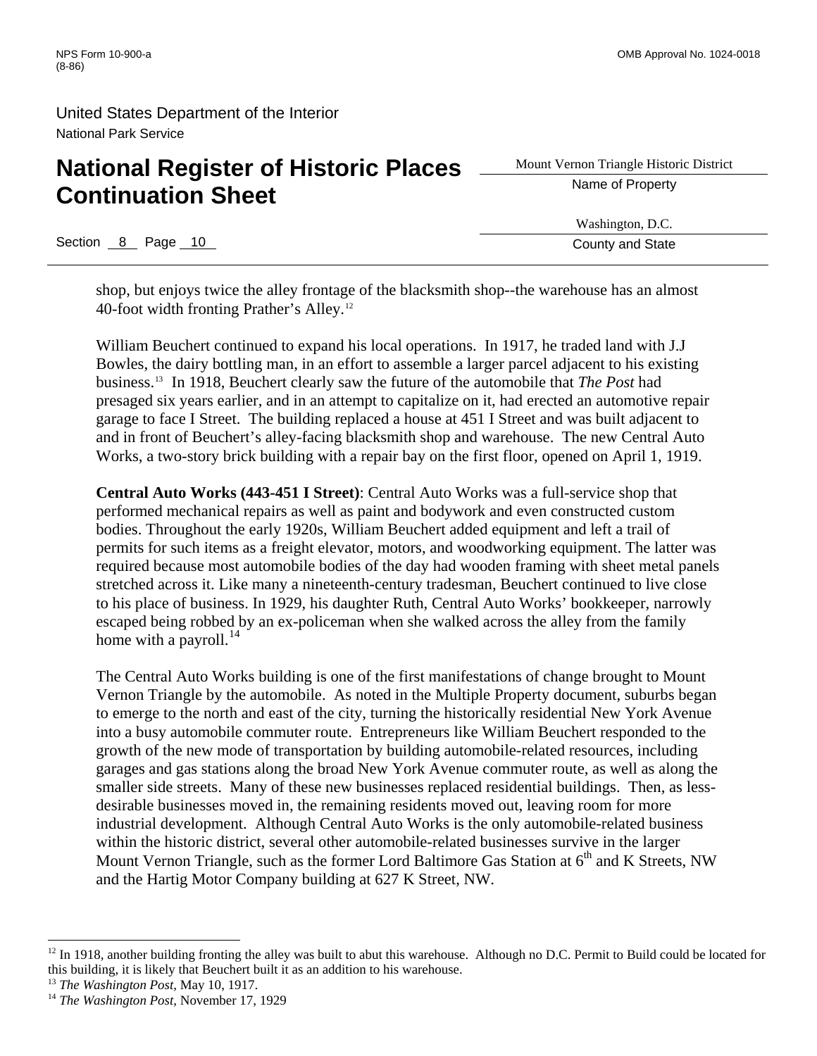# **National Register of Historic Places** <u>Superior Triangle Histor</u><br> **A** Name of Property **Continuation Sheet**

Section 8 Page 10 County and State Research County and State

Mount Vernon Triangle Historic District

Washington, D.C.

shop, but enjoys twice the alley frontage of the blacksmith shop--the warehouse has an almost 40-foot width fronting Prather's Alley.[12](#page-17-0)

William Beuchert continued to expand his local operations. In 1917, he traded land with J.J Bowles, the dairy bottling man, in an effort to assemble a larger parcel adjacent to his existing business.[13](#page-17-1) In 1918, Beuchert clearly saw the future of the automobile that *The Post* had presaged six years earlier, and in an attempt to capitalize on it, had erected an automotive repair garage to face I Street. The building replaced a house at 451 I Street and was built adjacent to and in front of Beuchert's alley-facing blacksmith shop and warehouse. The new Central Auto Works, a two-story brick building with a repair bay on the first floor, opened on April 1, 1919.

**Central Auto Works (443-451 I Street)**: Central Auto Works was a full-service shop that performed mechanical repairs as well as paint and bodywork and even constructed custom bodies. Throughout the early 1920s, William Beuchert added equipment and left a trail of permits for such items as a freight elevator, motors, and woodworking equipment. The latter was required because most automobile bodies of the day had wooden framing with sheet metal panels stretched across it. Like many a nineteenth-century tradesman, Beuchert continued to live close to his place of business. In 1929, his daughter Ruth, Central Auto Works' bookkeeper, narrowly escaped being robbed by an ex-policeman when she walked across the alley from the family home with a payroll. $^{14}$  $^{14}$  $^{14}$ 

The Central Auto Works building is one of the first manifestations of change brought to Mount Vernon Triangle by the automobile. As noted in the Multiple Property document, suburbs began to emerge to the north and east of the city, turning the historically residential New York Avenue into a busy automobile commuter route. Entrepreneurs like William Beuchert responded to the growth of the new mode of transportation by building automobile-related resources, including garages and gas stations along the broad New York Avenue commuter route, as well as along the smaller side streets. Many of these new businesses replaced residential buildings. Then, as lessdesirable businesses moved in, the remaining residents moved out, leaving room for more industrial development. Although Central Auto Works is the only automobile-related business within the historic district, several other automobile-related businesses survive in the larger Mount Vernon Triangle, such as the former Lord Baltimore Gas Station at  $6<sup>th</sup>$  and K Streets, NW and the Hartig Motor Company building at 627 K Street, NW.

<span id="page-17-0"></span> $12$  In 1918, another building fronting the alley was built to abut this warehouse. Although no D.C. Permit to Build could be located for this building, it is likely that Beuchert built it as an addition to his warehouse.

<span id="page-17-1"></span><sup>&</sup>lt;sup>13</sup> *The Washington Post*, May 10, 1917.<br><sup>14</sup> *The Washington Post*, November 17, 1929

<span id="page-17-2"></span>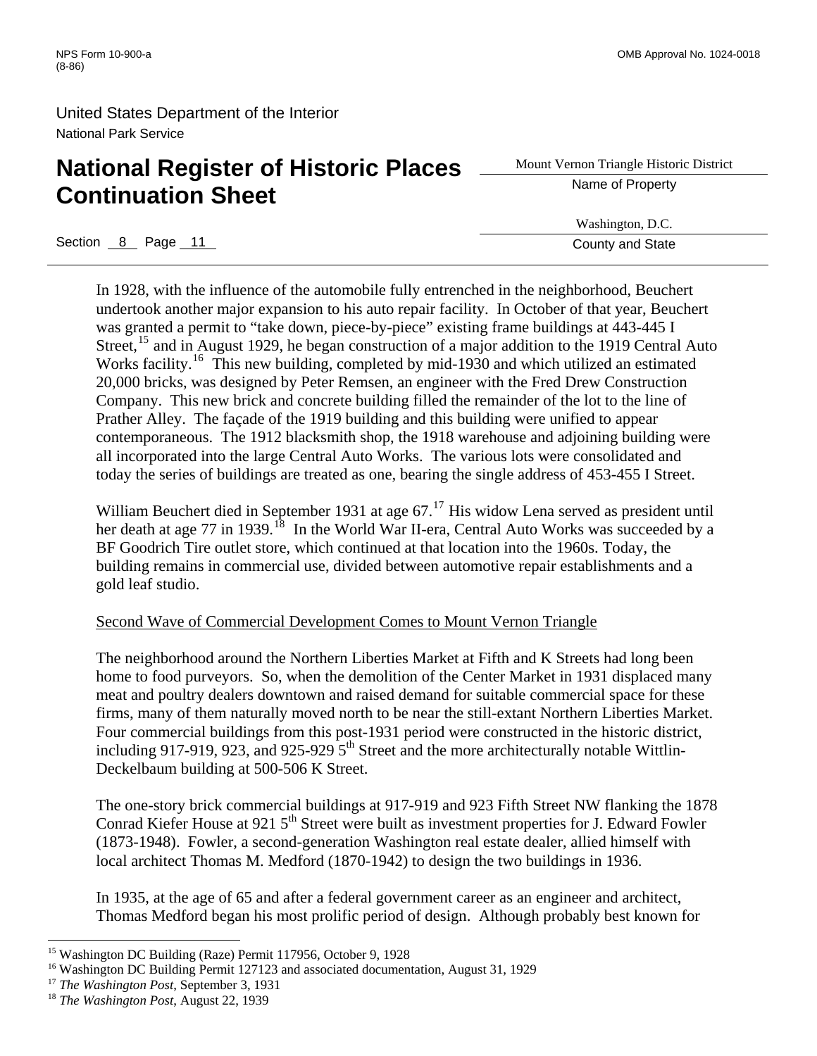# **National Register of Historic Places** <u>Superior Triangle Histor</u><br> **A** Name of Property **Continuation Sheet**

Mount Vernon Triangle Historic District

Washington, D.C.

Section 8 Page 11 County and State

In 1928, with the influence of the automobile fully entrenched in the neighborhood, Beuchert undertook another major expansion to his auto repair facility. In October of that year, Beuchert was granted a permit to "take down, piece-by-piece" existing frame buildings at 443-445 I Street,<sup>[15](#page-18-0)</sup> and in August 1929, he began construction of a major addition to the 1919 Central Auto Works facility.<sup>[16](#page-18-1)</sup> This new building, completed by mid-1930 and which utilized an estimated 20,000 bricks, was designed by Peter Remsen, an engineer with the Fred Drew Construction Company. This new brick and concrete building filled the remainder of the lot to the line of Prather Alley. The façade of the 1919 building and this building were unified to appear contemporaneous. The 1912 blacksmith shop, the 1918 warehouse and adjoining building were all incorporated into the large Central Auto Works. The various lots were consolidated and today the series of buildings are treated as one, bearing the single address of 453-455 I Street.

William Beuchert died in September 1931 at age 67.<sup>[17](#page-18-2)</sup> His widow Lena served as president until her death at age 77 in 1939.<sup>[18](#page-18-3)</sup> In the World War II-era, Central Auto Works was succeeded by a BF Goodrich Tire outlet store, which continued at that location into the 1960s. Today, the building remains in commercial use, divided between automotive repair establishments and a gold leaf studio.

#### Second Wave of Commercial Development Comes to Mount Vernon Triangle

The neighborhood around the Northern Liberties Market at Fifth and K Streets had long been home to food purveyors. So, when the demolition of the Center Market in 1931 displaced many meat and poultry dealers downtown and raised demand for suitable commercial space for these firms, many of them naturally moved north to be near the still-extant Northern Liberties Market. Four commercial buildings from this post-1931 period were constructed in the historic district, including 917-919, 923, and 925-929  $5<sup>th</sup>$  Street and the more architecturally notable Wittlin-Deckelbaum building at 500-506 K Street.

The one-story brick commercial buildings at 917-919 and 923 Fifth Street NW flanking the 1878 Conrad Kiefer House at 921 5<sup>th</sup> Street were built as investment properties for J. Edward Fowler (1873-1948). Fowler, a second-generation Washington real estate dealer, allied himself with local architect Thomas M. Medford (1870-1942) to design the two buildings in 1936.

In 1935, at the age of 65 and after a federal government career as an engineer and architect, Thomas Medford began his most prolific period of design. Although probably best known for

<span id="page-18-0"></span><sup>&</sup>lt;sup>15</sup> Washington DC Building (Raze) Permit 117956, October 9, 1928<br><sup>16</sup> Washington DC Building Permit 127123 and associated documentation, August 31, 1929

<span id="page-18-2"></span><span id="page-18-1"></span><sup>&</sup>lt;sup>17</sup> *The Washington Post*, September 3, 1931<br><sup>18</sup> *The Washington Post*, August 22, 1939

<span id="page-18-3"></span>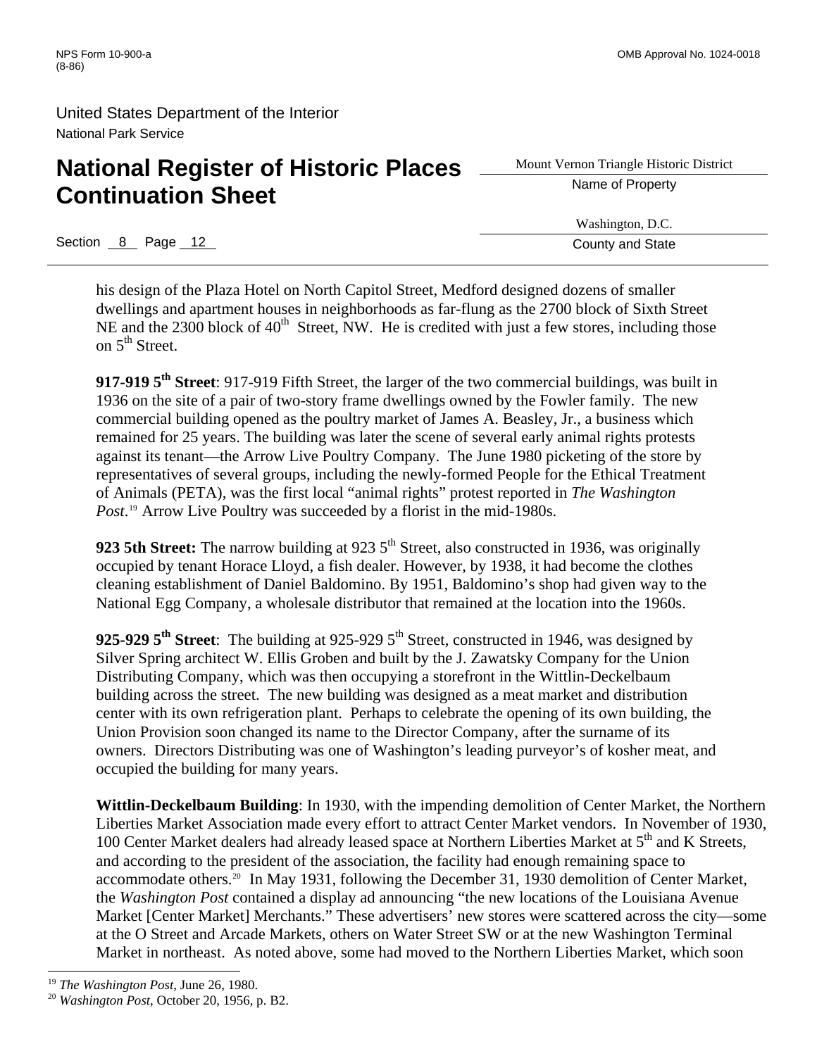# **National Register of Historic Places** <u>Advent Vernon Triangle Histor</u> **Continuation Sheet**

Section 8 Page 12 County and State

Mount Vernon Triangle Historic District

Washington, D.C.

his design of the Plaza Hotel on North Capitol Street, Medford designed dozens of smaller dwellings and apartment houses in neighborhoods as far-flung as the 2700 block of Sixth Street NE and the 2300 block of  $40<sup>th</sup>$  Street, NW. He is credited with just a few stores, including those on  $5<sup>th</sup>$  Street.

**917-919 5th Street**: 917-919 Fifth Street, the larger of the two commercial buildings, was built in 1936 on the site of a pair of two-story frame dwellings owned by the Fowler family. The new commercial building opened as the poultry market of James A. Beasley, Jr., a business which remained for 25 years. The building was later the scene of several early animal rights protests against its tenant—the Arrow Live Poultry Company. The June 1980 picketing of the store by representatives of several groups, including the newly-formed People for the Ethical Treatment of Animals (PETA), was the first local "animal rights" protest reported in *The Washington*  Post.<sup>[19](#page-19-0)</sup> Arrow Live Poultry was succeeded by a florist in the mid-1980s.

**923 5th Street:** The narrow building at 923 5<sup>th</sup> Street, also constructed in 1936, was originally occupied by tenant Horace Lloyd, a fish dealer. However, by 1938, it had become the clothes cleaning establishment of Daniel Baldomino. By 1951, Baldomino's shop had given way to the National Egg Company, a wholesale distributor that remained at the location into the 1960s.

925-929 5<sup>th</sup> Street: The building at 925-929 5<sup>th</sup> Street, constructed in 1946, was designed by Silver Spring architect W. Ellis Groben and built by the J. Zawatsky Company for the Union Distributing Company, which was then occupying a storefront in the Wittlin-Deckelbaum building across the street. The new building was designed as a meat market and distribution center with its own refrigeration plant. Perhaps to celebrate the opening of its own building, the Union Provision soon changed its name to the Director Company, after the surname of its owners. Directors Distributing was one of Washington's leading purveyor's of kosher meat, and occupied the building for many years.

**Wittlin-Deckelbaum Building**: In 1930, with the impending demolition of Center Market, the Northern Liberties Market Association made every effort to attract Center Market vendors. In November of 1930, 100 Center Market dealers had already leased space at Northern Liberties Market at 5<sup>th</sup> and K Streets, and according to the president of the association, the facility had enough remaining space to accommodate others[.20](#page-19-1) In May 1931, following the December 31, 1930 demolition of Center Market, the *Washington Post* contained a display ad announcing "the new locations of the Louisiana Avenue Market [Center Market] Merchants." These advertisers' new stores were scattered across the city—some at the O Street and Arcade Markets, others on Water Street SW or at the new Washington Terminal Market in northeast. As noted above, some had moved to the Northern Liberties Market, which soon

<span id="page-19-1"></span><span id="page-19-0"></span><sup>19</sup> *The Washington Post*, June 26, 1980. 20 *Washington Post*, October 20, 1956, p. B2.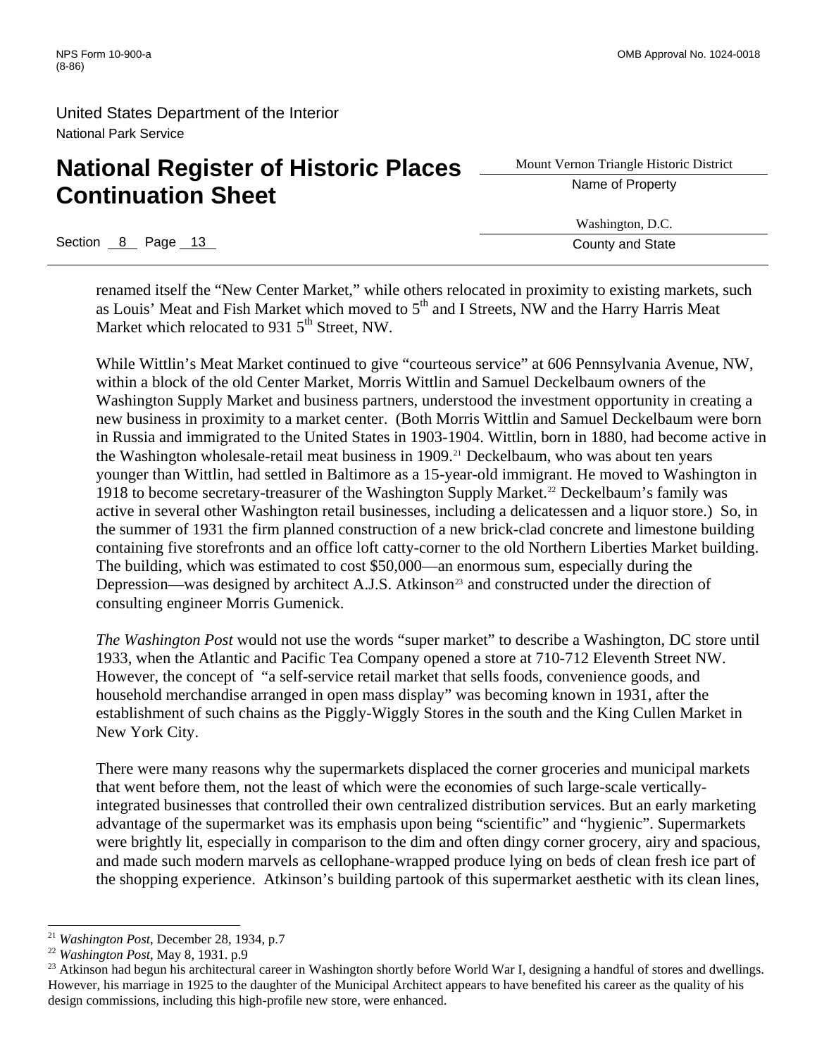# **National Register of Historic Places** <u>Subsettive Name of Property</u> **Continuation Sheet**

Mount Vernon Triangle Historic District

Washington, D.C.

Section 8 Page 13 County and State Section 8 Page 13 County and State

renamed itself the "New Center Market," while others relocated in proximity to existing markets, such as Louis' Meat and Fish Market which moved to  $5<sup>th</sup>$  and I Streets, NW and the Harry Harris Meat Market which relocated to 931  $5<sup>th</sup>$  Street, NW.

While Wittlin's Meat Market continued to give "courteous service" at 606 Pennsylvania Avenue, NW, within a block of the old Center Market, Morris Wittlin and Samuel Deckelbaum owners of the Washington Supply Market and business partners, understood the investment opportunity in creating a new business in proximity to a market center. (Both Morris Wittlin and Samuel Deckelbaum were born in Russia and immigrated to the United States in 1903-1904. Wittlin, born in 1880, had become active in the Washington wholesale-retail meat business in 1909.<sup>[21](#page-20-0)</sup> Deckelbaum, who was about ten years younger than Wittlin, had settled in Baltimore as a 15-year-old immigrant. He moved to Washington in 1918 to become secretary-treasurer of the Washington Supply Market.[22](#page-20-1) Deckelbaum's family was active in several other Washington retail businesses, including a delicatessen and a liquor store.) So, in the summer of 1931 the firm planned construction of a new brick-clad concrete and limestone building containing five storefronts and an office loft catty-corner to the old Northern Liberties Market building. The building, which was estimated to cost \$50,000—an enormous sum, especially during the Depression—was designed by architect A.J.S. Atkinson<sup>[23](#page-20-2)</sup> and constructed under the direction of consulting engineer Morris Gumenick.

*The Washington Post* would not use the words "super market" to describe a Washington, DC store until 1933, when the Atlantic and Pacific Tea Company opened a store at 710-712 Eleventh Street NW. However, the concept of "a self-service retail market that sells foods, convenience goods, and household merchandise arranged in open mass display" was becoming known in 1931, after the establishment of such chains as the Piggly-Wiggly Stores in the south and the King Cullen Market in New York City.

There were many reasons why the supermarkets displaced the corner groceries and municipal markets that went before them, not the least of which were the economies of such large-scale verticallyintegrated businesses that controlled their own centralized distribution services. But an early marketing advantage of the supermarket was its emphasis upon being "scientific" and "hygienic". Supermarkets were brightly lit, especially in comparison to the dim and often dingy corner grocery, airy and spacious, and made such modern marvels as cellophane-wrapped produce lying on beds of clean fresh ice part of the shopping experience. Atkinson's building partook of this supermarket aesthetic with its clean lines,

<span id="page-20-2"></span><span id="page-20-1"></span>

<span id="page-20-0"></span><sup>&</sup>lt;sup>21</sup> Washington Post, December 28, 1934, p.7<br><sup>22</sup> Washington Post, May 8, 1931. p.9<br><sup>23</sup> Atkinson had begun his architectural career in Washington shortly before World War I, designing a handful of stores and dwellings. However, his marriage in 1925 to the daughter of the Municipal Architect appears to have benefited his career as the quality of his design commissions, including this high-profile new store, were enhanced.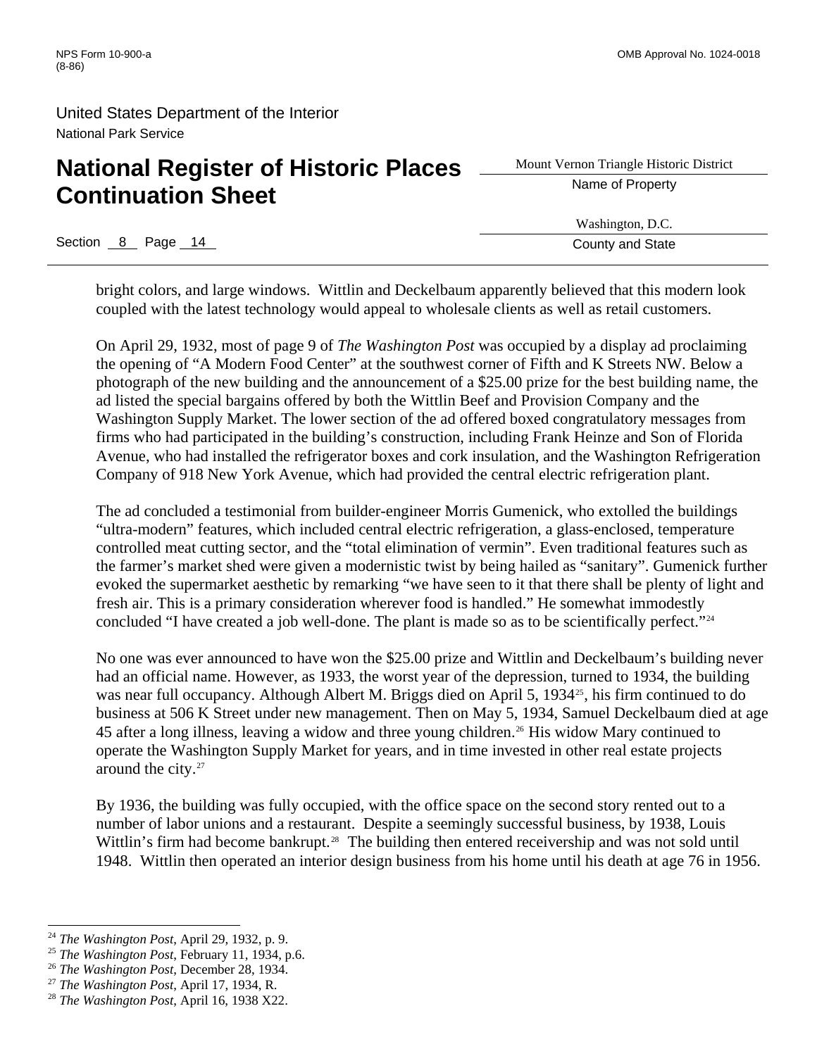# **National Register of Historic Places** <u>Subsettive Name of Property</u> **Continuation Sheet**

Section 8 Page 14 County and State Research County and State

Mount Vernon Triangle Historic District

Washington, D.C.

bright colors, and large windows. Wittlin and Deckelbaum apparently believed that this modern look coupled with the latest technology would appeal to wholesale clients as well as retail customers.

On April 29, 1932, most of page 9 of *The Washington Post* was occupied by a display ad proclaiming the opening of "A Modern Food Center" at the southwest corner of Fifth and K Streets NW. Below a photograph of the new building and the announcement of a \$25.00 prize for the best building name, the ad listed the special bargains offered by both the Wittlin Beef and Provision Company and the Washington Supply Market. The lower section of the ad offered boxed congratulatory messages from firms who had participated in the building's construction, including Frank Heinze and Son of Florida Avenue, who had installed the refrigerator boxes and cork insulation, and the Washington Refrigeration Company of 918 New York Avenue, which had provided the central electric refrigeration plant.

The ad concluded a testimonial from builder-engineer Morris Gumenick, who extolled the buildings "ultra-modern" features, which included central electric refrigeration, a glass-enclosed, temperature controlled meat cutting sector, and the "total elimination of vermin". Even traditional features such as the farmer's market shed were given a modernistic twist by being hailed as "sanitary". Gumenick further evoked the supermarket aesthetic by remarking "we have seen to it that there shall be plenty of light and fresh air. This is a primary consideration wherever food is handled." He somewhat immodestly concluded "I have created a job well-done. The plant is made so as to be scientifically perfect."[24](#page-21-0)

No one was ever announced to have won the \$25.00 prize and Wittlin and Deckelbaum's building never had an official name. However, as 1933, the worst year of the depression, turned to 1934, the building was near full occupancy. Although Albert M. Briggs died on April 5, 1934<sup>[25](#page-21-1)</sup>, his firm continued to do business at 506 K Street under new management. Then on May 5, 1934, Samuel Deckelbaum died at age 45 after a long illness, leaving a widow and three young children.[26](#page-21-2) His widow Mary continued to operate the Washington Supply Market for years, and in time invested in other real estate projects around the city[.27](#page-21-3)

By 1936, the building was fully occupied, with the office space on the second story rented out to a number of labor unions and a restaurant. Despite a seemingly successful business, by 1938, Louis Wittlin's firm had become bankrupt.<sup>[28](#page-21-4)</sup> The building then entered receivership and was not sold until 1948. Wittlin then operated an interior design business from his home until his death at age 76 in 1956.

<span id="page-21-1"></span><span id="page-21-0"></span><sup>&</sup>lt;sup>24</sup> The Washington Post, April 29, 1932, p. 9.<br><sup>25</sup> The Washington Post, February 11, 1934, p.6.<br><sup>26</sup> The Washington Post, December 28, 1934.<br><sup>27</sup> The Washington Post, April 17, 1934, R.<br><sup>28</sup> The Washington Post, April 1

<span id="page-21-2"></span>

<span id="page-21-3"></span>

<span id="page-21-4"></span>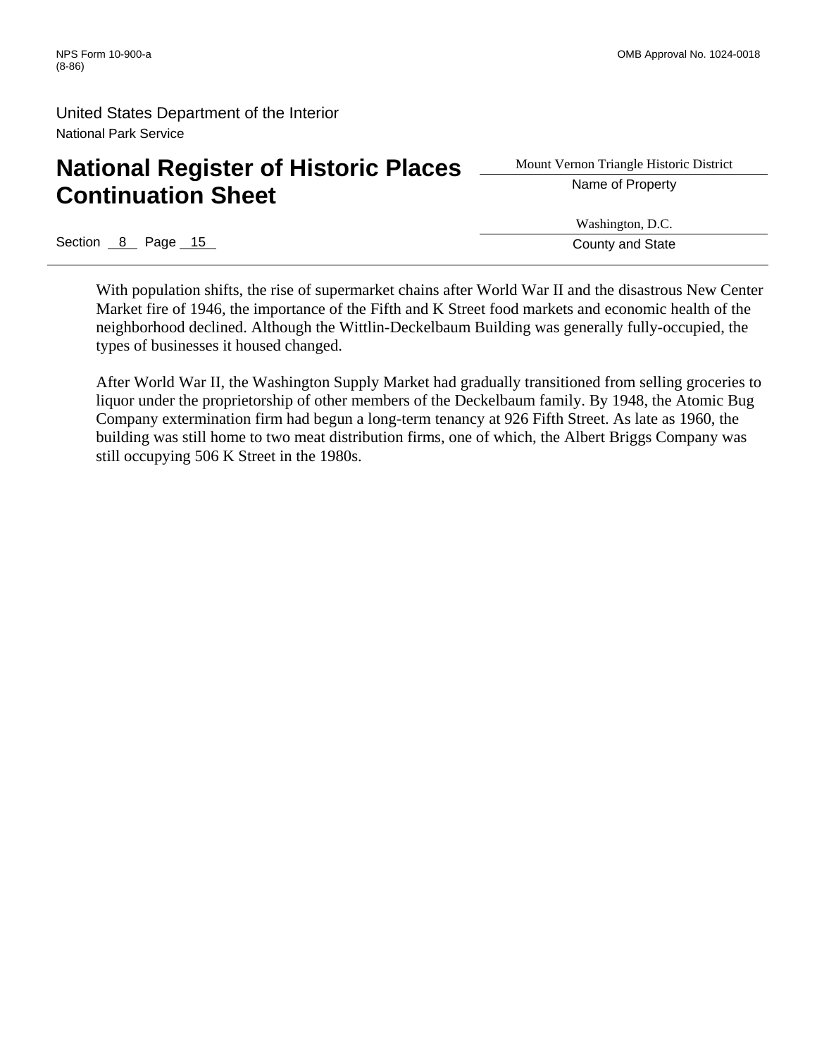# **National Register of Historic Places** <u>Superior Triangle Histor</u><br> **A** Name of Property **Continuation Sheet**

Mount Vernon Triangle Historic District

Section 8 Page 15 County and State

Washington, D.C.

With population shifts, the rise of supermarket chains after World War II and the disastrous New Center Market fire of 1946, the importance of the Fifth and K Street food markets and economic health of the neighborhood declined. Although the Wittlin-Deckelbaum Building was generally fully-occupied, the types of businesses it housed changed.

After World War II, the Washington Supply Market had gradually transitioned from selling groceries to liquor under the proprietorship of other members of the Deckelbaum family. By 1948, the Atomic Bug Company extermination firm had begun a long-term tenancy at 926 Fifth Street. As late as 1960, the building was still home to two meat distribution firms, one of which, the Albert Briggs Company was still occupying 506 K Street in the 1980s.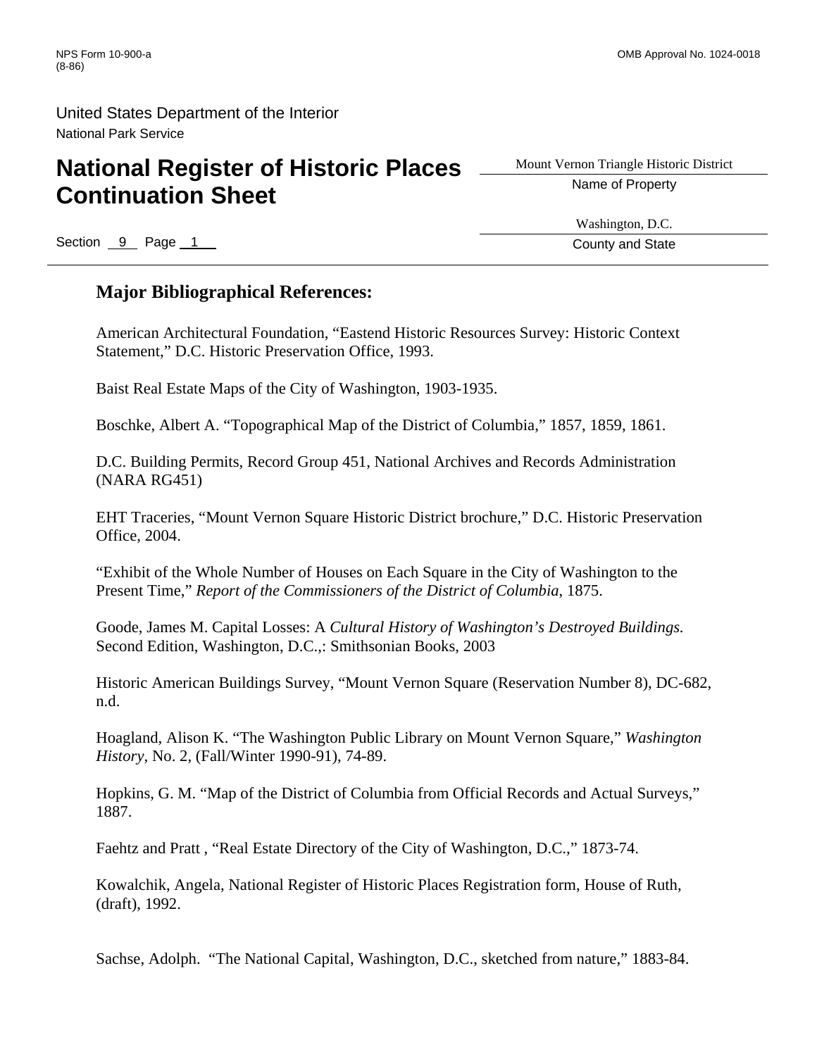# **National Register of Historic Places** <u>Superior Triangle Histor</u> **Continuation Sheet**

Mount Vernon Triangle Historic District

Section 9 Page 1 County and State County and State County and State

Washington, D.C.

#### **Major Bibliographical References:**

American Architectural Foundation, "Eastend Historic Resources Survey: Historic Context Statement," D.C. Historic Preservation Office, 1993.

Baist Real Estate Maps of the City of Washington, 1903-1935.

Boschke, Albert A. "Topographical Map of the District of Columbia," 1857, 1859, 1861.

D.C. Building Permits, Record Group 451, National Archives and Records Administration (NARA RG451)

EHT Traceries, "Mount Vernon Square Historic District brochure," D.C. Historic Preservation Office, 2004.

"Exhibit of the Whole Number of Houses on Each Square in the City of Washington to the Present Time," *Report of the Commissioners of the District of Columbia*, 1875.

Goode, James M. Capital Losses: A *Cultural History of Washington's Destroyed Buildings.* Second Edition, Washington, D.C.,: Smithsonian Books, 2003

Historic American Buildings Survey, "Mount Vernon Square (Reservation Number 8), DC-682, n.d.

Hoagland, Alison K. "The Washington Public Library on Mount Vernon Square," *Washington History*, No. 2, (Fall/Winter 1990-91), 74-89.

Hopkins, G. M. "Map of the District of Columbia from Official Records and Actual Surveys," 1887.

Faehtz and Pratt , "Real Estate Directory of the City of Washington, D.C.," 1873-74.

Kowalchik, Angela, National Register of Historic Places Registration form, House of Ruth, (draft), 1992.

Sachse, Adolph. "The National Capital, Washington, D.C., sketched from nature," 1883-84.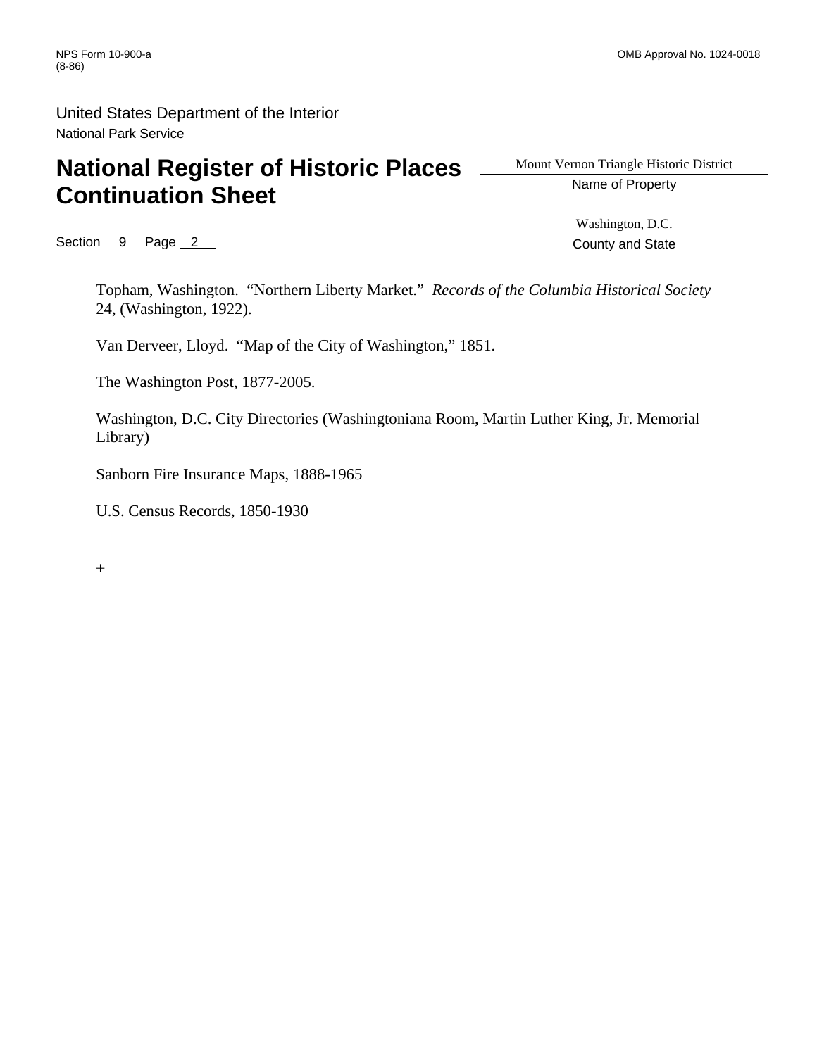## National Register of Historic Places **Adden Claim And Algorithm Contains A** Name of Property **Continuation Sheet**

Mount Vernon Triangle Historic District

Section  $\overline{9}$  Page 2 County and State

Washington, D.C.

Topham, Washington. "Northern Liberty Market." *Records of the Columbia Historical Society* 24, (Washington, 1922).

Van Derveer, Lloyd. "Map of the City of Washington," 1851.

The Washington Post, 1877-2005.

Washington, D.C. City Directories (Washingtoniana Room, Martin Luther King, Jr. Memorial Library)

Sanborn Fire Insurance Maps, 1888-1965

U.S. Census Records, 1850-1930

+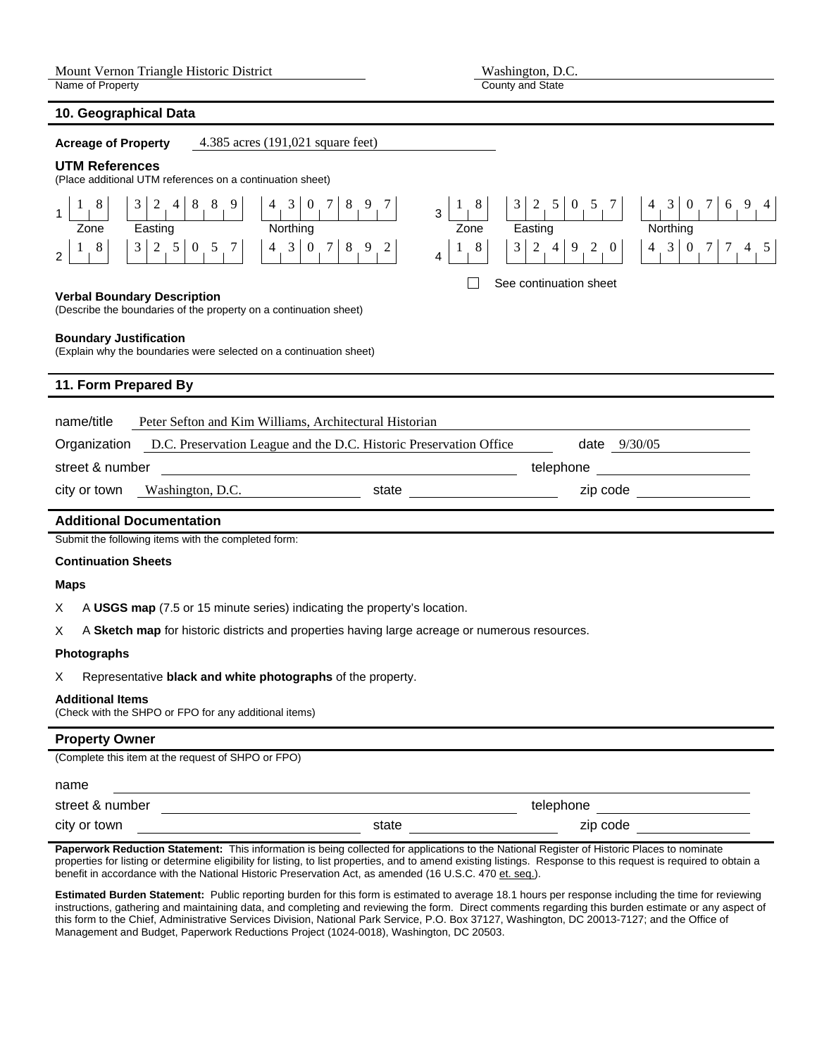**10. Geographical Data** 

County and State

| <b>Acreage of Property</b>                                                                          | 4.385 acres (191,021 square feet)                                                 |                                  |                                                                        |                                                                          |  |
|-----------------------------------------------------------------------------------------------------|-----------------------------------------------------------------------------------|----------------------------------|------------------------------------------------------------------------|--------------------------------------------------------------------------|--|
| <b>UTM References</b>                                                                               | (Place additional UTM references on a continuation sheet)                         |                                  |                                                                        |                                                                          |  |
| 3 <sup>1</sup><br>8<br>Easting<br>Zone                                                              | $2 \tbinom{4}{1} \tbinom{8}{1} \tbinom{9}{1}$<br>$4 \t3 \t0 \t7$<br>8<br>Northing | 9<br>8<br>$\overline{3}$<br>Zone | $3\begin{bmatrix} 2 & 5 & 0 & 5 & 7 \end{bmatrix}$<br>Easting          | $4 \quad 3$<br>$7\phantom{.0}$<br>9 4<br>$\overline{0}$<br>6<br>Northing |  |
| 8<br>$\overline{2}$                                                                                 | 3 2 5 0 5 7 <br>$4 \t3 \t0 \t7 \t8$                                               | 8<br>9<br>2<br>4                 | $\overline{4}$<br>$2^{\circ}$<br>$9 \quad 2 \quad 0$<br>3 <sup>1</sup> | $4 \quad 3 \quad 0 \quad 7 \quad 7$<br>$4\quad 5$                        |  |
|                                                                                                     |                                                                                   |                                  | See continuation sheet                                                 |                                                                          |  |
| <b>Verbal Boundary Description</b>                                                                  | (Describe the boundaries of the property on a continuation sheet)                 |                                  |                                                                        |                                                                          |  |
| <b>Boundary Justification</b><br>(Explain why the boundaries were selected on a continuation sheet) |                                                                                   |                                  |                                                                        |                                                                          |  |
| 11. Form Prepared By                                                                                |                                                                                   |                                  |                                                                        |                                                                          |  |
| name/title                                                                                          | Peter Sefton and Kim Williams, Architectural Historian                            |                                  |                                                                        |                                                                          |  |
| Organization                                                                                        | D.C. Preservation League and the D.C. Historic Preservation Office                |                                  | date 9/30/05                                                           |                                                                          |  |
| street & number                                                                                     |                                                                                   |                                  | telephone                                                              |                                                                          |  |
| city or town                                                                                        | Washington, D.C.                                                                  | state                            | zip code                                                               |                                                                          |  |
| <b>Additional Documentation</b>                                                                     |                                                                                   |                                  |                                                                        |                                                                          |  |
| Submit the following items with the completed form:                                                 |                                                                                   |                                  |                                                                        |                                                                          |  |

#### **Continuation Sheets**

#### **Maps**

X A **USGS map** (7.5 or 15 minute series) indicating the property's location.

X A **Sketch map** for historic districts and properties having large acreage or numerous resources.

#### **Photographs**

X Representative **black and white photographs** of the property.

#### **Additional Items**

(Check with the SHPO or FPO for any additional items)

#### **Property Owner**

(Complete this item at the request of SHPO or FPO)

| name            |           |          |
|-----------------|-----------|----------|
| street & number | telephone |          |
| city or town    | state     | zip code |

**Paperwork Reduction Statement:** This information is being collected for applications to the National Register of Historic Places to nominate properties for listing or determine eligibility for listing, to list properties, and to amend existing listings. Response to this request is required to obtain a benefit in accordance with the National Historic Preservation Act, as amended (16 U.S.C. 470 et. seq.).

**Estimated Burden Statement:** Public reporting burden for this form is estimated to average 18.1 hours per response including the time for reviewing instructions, gathering and maintaining data, and completing and reviewing the form. Direct comments regarding this burden estimate or any aspect of this form to the Chief, Administrative Services Division, National Park Service, P.O. Box 37127, Washington, DC 20013-7127; and the Office of Management and Budget, Paperwork Reductions Project (1024-0018), Washington, DC 20503.